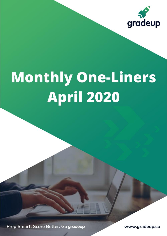

# **Monthly One-Liners April 2020**

Prep Smart. Score Better. Go gradeup

www.gradeup.co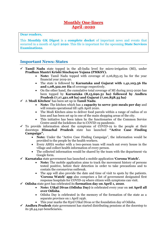#### **Monthly One-liners April -2020**

**Dear readers,**

This **Monthly GK Digest** is a **complete docket** of important news and events that occurred in a month of April **2020**. This file is important for the upcoming **State Services Examinations**.

#### **Important News: States**

- Tamil Nadu state topped in the all-India level for micro-irrigation (MI), under **Pradhan Mantri Krishi Sinchayee Yojana (PMKSY).**
	- **Note:** Tamil Nadu topped with coverage of 2,06,853.25 ha for the year financial year 2019-20.
	- The state is followed by **Karnataka and Gujarat with 1,41,103.56 Ha and 1,08,322.00 Ha** of coverage respectively.
	- On the other hand, the cumulative total coverage of MI during 2015-2020 has been topped by **Karnataka (8,15,690.31 ha) followed by Andhra Pradesh (7,17,421.08 ha) and Gujarat (7,00,858.35 ha)**
- ✓ A '**Modi Kitchen'** has been set up in **Tamil Nadu**.
	- **Note:** The kitchen which has a **capacity to serve 500 meals per day** and will remain operational till 14th April 2020.
	- The Modi Kitchen aims to deliver food parcels within a range of radius of 10 kms and has been set up in one of the main shopping areas of the city.
	- This initiative has been taken by the functionaries of the Common Service Centre amid the lockdown due to COVID-19 pandemic.
- $\checkmark$  To provide information about the symptoms of COVID-19 to the people at their doorsteps **Himachal Pradesh** state has launched **"Active Case Finding Campaign".**
	- **Note:** Under the "Active Case Finding Campaign", the information would be provided to the people by the health workers.
	- Every ASHA worker with a two-person team will reach out every house in the village and collect health information of every person.
	- The collected information would be shared by the team with the department via Google form.
- ✓ **Karnataka** state government has launched a mobile application **'Corona Watch'.**
	- **Note:** The mobile application aims to track the movement history of persons tested positive, before their detection in order to take precautions and to contain the coronavirus outbreak.
	- The app will also provide the date and time of visit to spots by the patients. **'Corona Watch' app** also comprises a list of government designated first response hospitals for COVID-19 where citizen with symptoms can visit.
- ✓ **Odisha** state govt has celebrated its **formation day on April 1, 2020**.
	- **Note: Utkal Divas (Odisha Day)** is celebrated every year on **1st April all over Odisha**.
	- Odisha Day is celebrated in the memory of the formation of the state as a separate province on 1 April 1936.
	- This year marks the 83rd Utkal Divas or the foundation day of Odisha.
- ✓ **Andhra Pradesh** state government has started distributing pensions at the doorstep to its 58,44,240 beneficiaries**.**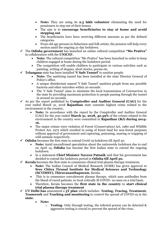- **Note:** They are using its **2.5 lakh volunteer** eliminating the need for pensioners to step out of their homes.
- The aim is to **encourage beneficiaries to stay at home and avoid stepping out**.
- The beneficiaries have been receiving different amounts as per the defined categories.
- From old age persons to fishermen and folk artists, the pension will help every section amid the ongoing 21-day lockdown.
- ✓ The **Odisha government** has launched an online cultural competition **"Mo Prativa"** in collaboration with the **UNICEF.**
	- **Note:** The cultural competition "Mo Prativa" has been launched in order to keep children engaged at home during the lockdown period.
	- The competition will enable children to participate in various activities such as painting, writing of slogans, short stories, poems etc.
- ✓ **Telangana** state has been installed **'V Safe Tunnel'** to sanitize people.
	- **Note:** The sanitizing tunnel has been installed at the state Director General of Police's office.
	- A unique disinfectant named 'V Safe Tunnel' sanitizes people from any possible bacteria and other microbes within 20 seconds.
	- The 'V Safe Tunnel' aims to minimize the local transmission of Coronavirus in the state by providing maximum protection to people passing through the tunnel in around 20 seconds.
- ✓ As per the report published by **Comptroller and Auditor General (CAG)** for the year ended March 31, 2018 **Rajasthan** state commits highest crime related to the environment in the country**.**
	- **Note:** In accordance with the report by the Comptroller and Auditor General (CAG) for the year ended **March 31, 2018, 40.59%** of the crimes related to the environment in the country were committed in **Rajasthan (RJ) during 2014- 16.**
	- The major crimes were violation of Forest (Conservation) Act, 1980 and Wildlife Protect Act, 1972 which resulted in using of forest land for non-forest purposes without approval of government and capturing, poisoning, snaring or trapping of wild animals respectively.
- ✓ **Odisha** becomes the first state to extend Covid-19 lockdown till April 30.
	- **Note:** Amid unconfirmed speculation about the nationwide lockdown due to end on April 14, **Odisha** has become the first Indian state to extend the ongoing lockdown.
	- In a statement **Chief Minister Naveen Patnaik** said that his government has decided to extend the lockdown period in **Odisha till April 30.**
- ✓ **Kerala** becomes the first state to commence clinical trial plasma therapy treatment**.**
	- **Note:** The Indian Council of Medical Research (ICMR) has given approval to **Sree Chitra Tirunal Institute for Medical Sciences and Technology (SCTIMST), Thiruvananthapuram**, Kerala.
	- This is to commence convalescent plasma therapy, which uses antibodies from the blood of cured patients, to treat critically ill COVID- 19 cases on a trial basis.
	- Therefore, Kerala becomes the **first state in the country** to **start clinical trial plasma therapy treatment**
- ✓ **UT Delhi has** announced a **5T plan** which includes- **Testing, Tracing, Treatment, Teamwork** and **Tracking and monitoring** to control the spread of COVID-19 in the **state.**
	- **Note:**
		- o **Testing** Only through testing, the infected person can be detected & aggressive testing is crucial to prevent the spread of the virus.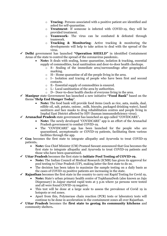- o **Tracing** Persons associated with a positive patient are identified and asked for self-quarantine.
- o **Treatment** If someone is infected with COVID-19, they will be provided treatment.
- o **Teamwork-** The virus can be combated & defeated through teamwork.
- o **Tracking & Monitoring** Active tracking & monitoring the developments will help to take action to deal with the spread of the virus.
- ✓ **Delhi** government has launched **"Operation SHIELD"** in identified Containment Areas of the state to control the spread of the coronavirus pandemic**.**
	- **Note:** It deals with sealing, home quarantine, isolation & tracking, essential supply of commodities, local sanitisation and door-to-door health checkups.
		- o S– Sealing of the immediate area/surroundings after geographical marking.
		- o H– Home quarantine of all the people living in the area.
		- o I– Isolation and tracing of people who have been first and second contacts.
		- o E– Essential supply of commodities is ensured.
		- o L– Local sanitization of the area by authorities.
		- o D– Door-to-door health checks of everyone living in the area.
- ✓ **Manipur** state Government has launched a new initiative **"Food Bank"** based on the theme **'Help End Hunger Today'**.
	- **Note:** The food bank will provide food items (such as rice, aata, maida, daal, edible oil, salt, potato, onions , milk, biscuits, packaged drinking water), hand sanitizers and face masks to drug rehabilitation centres and people living in Imphal East District affected by HIV (human immunodeficiency virus).

✓ **Arunachal Pradesh** state government has launched an app called "COVIDCARE"**.**

- **Note:** The newly developed "COVIDCARE" app is an effort of the Arunachal Pradesh government to combat COVID-19.
- The "COVIDCARE" app has been launched for the people who are quarantined, asymptomatic or COVID-19 patients, facilitating them various facilities through the app.
- ✓ **Goa** becomes the first state to integrate allopathy and Ayurveda to treat COVID-19 patients**.**
	- **Note:** Goa Chief Minister (CM) Pramod Sawant announced that Goa becomes the first state to integrate allopathy and Ayurveda to treat COVID-19 patients and those who have been quarantined.
- ✓ **Uttar Pradesh** becomes the first state to **initiate Pool Testing of COVID-19.**
	- **Note:** The Indian Council of Medical Research (ICMR) has given its approval for pool testing to Uttar Pradesh (UP), making latter the first state to do so.
	- The decision has been taken to maximize the sample testing on a daily basis as the cases of COVID-19 positive patients are increasing in the state.
- ✓ **Rajasthan** becomes the first state in the country to carry out Rapid Testing for Covid 19**.**
	- **Note:** State's urban primary health centre of TopkhanaDesh (also known as Jaju Dispensary) in Jaipur started rapid tests at 5 p.m where 52 persons were tested and all were found COVID-19 negative.
	- This test will be done at a large scale to assess the prevalence of Covid 19 in hotspots or red zones.
	- Apart from this, Polymerase chain reaction (PCR) tests or laboratory tests will continue to be done in acceleration in the containment zones all over Rajasthan.
- ✓ **Uttar Pradesh** becomes the **first state to geotag its community kitchens** and community shelters**.**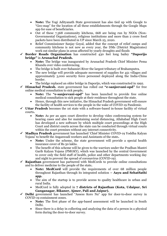- **Note:** The Yogi Adityanath State government has also tied up with Google to "Geo-map" for the location of all these establishments through the Google Maps app for ease of beneficiaries.
- Out of these 7,368 community kitchens, 668 are being run by NGOs (Non-Governmental Organizations), religious institutions and more than 2 crore food packets have been distributed in UP since March 25, 2020.
- Relief Commissioner Sanjay Goyal, added that the concept of relief camps and community kitchens is not new as every year, the DMs (District Magistrates) work out similar plans in areas affected by yearly droughts and floods
- ✓ **Border Roads Organisation** has constructed 430 feet long bailey **"Daporijo bridge"** in **Arunachal Pradesh.**
	- **Note:** The bridge was inaugurated by Arunachal Pradesh Chief Minister Pema Khandu over video conferencing.
	- The bridge is built over Subansiri River the largest tributary of Brahamputra.
	- The new bridge will provide adequate movement of supplies for 451 villages and approximately 3,000 security force personnel deployed along the India-China border.
	- The bridge replaced an older bridge in Daporijo, which was constructed in 1992.
- ✓ **Himachal Pradesh.** state government has rolled out **"e-sanjeevani-opd"** for free online medical consultation to sick people**.**
	- **Note:** The **"e-sanjeevani-opd"** has been launched to provide free online medical consultation to sick people at their residence throughout the state.
	- Hence, through this new initiative, the Himachal Pradesh government will ensure the facility of health services to the people in the wake of COVID-19 Pandemic.
- ✓ **Uttar Pradesh** becomes the 1st state with a software-based in-house facility of virtual courts**.**
	- **Note:** As per an apex court directive to develop video conferencing system for hearing cases and also for maintaining social distancing, Allahabad High Court has developed a new software by which multiple court proceedings at the High Court and district courts across the state can be conducted through virtual courts within the court premises without any internet connectivity.
- ✓ **Madhya Pradesh** government has launched 'Chief Minister COVID-19 Yoddha Kalyan Yojana' to benefit the Anganwadi workers and Assistants of the state**.**
	- **Note:** Under the scheme, the state government will provide a special health insurance cover of Rs 50 lakhs.
	- The benefit of this scheme will be given to the warriors under the Pradhan Mantri Garib Kalyan Yojana (PMGKY), which was launched by the central Government to cover only the field staff of health, police and other departments working day and night to prevent the spread of coronavirus (COVID-19).
- ✓ **Rajasthan** government has partnered with MedCords to provide online consultations and to deliver medicine to the people of the state**.**
	- **Note: MedCord** will provide the requirements of over 68 million people throughout Rajasthan through its integrated solution **– Aayu and SehatSathi app.**
	- The aim of the startup is to provide access to quality healthcare in urban and rural India.
	- MedCord is fully adopted in **7 districts of Rajasthan (Kota, Udaipur, Sri Ganganagar, Bikaner, Ajmer, Pali and Jaipur).**
- ✓ **Delhi** government has launched "Assess Koro Na" app for door-to-door survey in COVID-19 containment zones.
	- **Note:** The first phase of the app-based assessment will be launched in South Delhi.
	- Since there is a delay in collecting and analyzing the data of a person in a physical form during the door-to-door survey.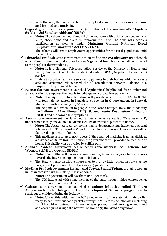- With this app, the data collected can be uploaded on the **servers in real-time and immediate analysis.**
- ✓ **Gujarat** government has approved the 3rd edition of his government's **'Sujalam Sufalam Jal Sanchay Abhiyan' (SSJA).**
	- **Note:** The scheme will continue till June 10, 2020 with a focus on deepening of lakes, check dams and rivers by removing silt. It will be done with people's participation as well as under **Mahatma Gandhi National Rural Employment Guarantee Act (MNREGA).**
	- The scheme will create employment opportunities for the rural population amid the lockdown.
- ✓ **Himachal Pradesh** state government has started to use **eSanjeevaniOPD** through which **free online medical consultation & general health advice** will be provided to the people at their residence**.**
	- **Note:** It is a National Teleconsultation Service of the Ministry of Health and Family Welfare & is the 1st of its kind online OPD (Outpatient Department) service.
	- It aims to provide healthcare services to patients in their homes, which enables a safe and structured video-based clinical consultation between a doctor in a hospital and a patient at home.
- ✓ **Karnataka** state government has launched "Apthamitra" helpline toll free number and an application to empower the people to fight against coronavirus pandemic**.**
	- **Note:** The **Apthamithra helpline** will provide service from 8 AM to 8 PM, with four helpline centers in Bangalore, one center in Mysore and one in Bantwal, Mangalore with a capacity of 300 seats.
	- The helpline is to reach out to people in the corona hotspot areas and to identify the **Influenza Like illness (ILI), Severe Acute Respiratory Infection (SERI)** and the corona like symptoms.
- ✓ **Assam** state government has launched a special **scheme called 'Dhanwantari'**, under which locally unavailable medicines will be delivered to patients at home**.**
	- **Note:** The Assam state government's health department has launched a special scheme called **'Dhanwantari'**, under which locally unavailable medicines will be delivered to patients at home.
	- This medicine is free up to 200 rupees. If the required medicine is not available at a distance of 10 km from the house, the government will provide the medicine at home. This facility can be availed by calling 104.
- ✓ **Andhra Pradesh** government has launched **zero interest loan scheme for Women Self-Help Groups (SHGs).**
	- **Note:** Each SHG will receive a sum ranging from Rs 20,000 to Rs 40,000 towards the interest component on their loans.
	- The State will also distribute house-sites to over 27 lakh women on July 8 as the program got postponed due to the Covid-19 pandemic.
- ✓ **Madhya Pradesh** government has launched **Jeevan Shakti Yojana** to enable women in urban areas to earn by making masks at home**.**
	- **Note:** The government will pay them Rs 11 per mask.
	- The CM interacted with some women of the state through video conferencing, who have registered to make masks.
- ✓ **Gujarat** state government has launched a **unique initiative called 'Umbare Aanganwadi under Integrated Child Development Services programme** to reach out to children during the lockdown.
	- **Note:** Under this initiative, the ICDS department of the state will mainly offer ready to eat nutritious food packets through AMUL to its beneficiaries including 14 lakh children between 3-6 years of age, pregnant and nursing women and adolescent girls through the network of around 53 thousand Aanganwadi.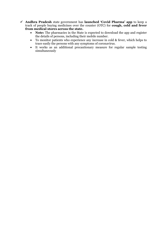- ✓ **Andhra Pradesh** state government has **launched 'Covid Pharma' app** to keep a track of people buying medicines over the counter (OTC) for **cough, cold and fever from medical stores across the state.**
	- **Note:** The pharmacies in the State is expected to download the app and register the details of persons, including their mobile number.
	- To monitor patients who experience any increase in cold & fever, which helps to trace easily the persons with any symptoms of coronavirus.
	- It works as an additional precautionary measure for regular sample testing simultaneously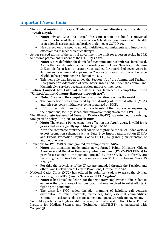### **Important News: India**

- The virtual meeting of the G20 Trade and Investment Ministers was attended by **Piyush Goyal.**
	- **Note:** Piyush Goyal has urged the G20 nations to build a universal framework to boost the affordable access & facilitate easy movement of health professionals across national borders to fight over COVID-19.
	- He stressed on the need to uphold multilateral commitments and improve its effectiveness to meet current challenges.
- $\checkmark$  As per revised norms of the central government the limit for a person reside in J&K to become permanent resident of the UT **-- 15 Years.**
	- **Note:** A new definition for domicile for Jammu and Kashmir was introduced. As per the new definition a person residing in the Union Territory of Jammu & Kashmir for at least 15 years or has studied for a period of seven years in Jammu and Kashmir and appeared in Class 10 or 12 examinations will now be eligible to be a permanent resident of the UT.
	- This new rule was issued under the Section 3A of the Jammu and Kashmir Reorganisation Adaptation of State Laws Order 2020, under the Jammu and Kashmir civil services decentralisation and recruitment Act.
- ✓ **Indian Council for Cultural Relations** has launched a competition titled **"United Against Corona- Express through Art".**
	- **Note:** The aim of the competition is to unite citizens across the world.
	- The competition was announced by the Ministry of External Affairs (MEA) and this soft-power initiative is being organized by ICCR.
	- ICCR invites Indians and world citizens to submit their work of art expressing their emotions, feelings, ideas, and innovative thoughts on the COVID- 19.
- ✓ The **Directorate General of Foreign Trade (DGFT)** has extended the existing foreign trade policy (2015-20) **to March 2021.**
	- **Note:** The existing Policy came into effect on **1st April 2015**, is valid for **5 years** and was originally up to **March 31, 2020.**
	- Now, the commerce ministry will continue to provide the relief under various export promotion schemes such as Duty Free Import Authorisation (DFIA) and Export Promotion Capital Goods (EPCG) by granting an extension of another one year.
- ✓ Donations for PM-CARES Fund granted tax exemption of **100%.**
	- **Note:** the donations made under newly-formed Prime Minister's Citizen Assistance and Relief in Emergency Situations Fund (PM-CARES FUND) to provide assistance to the persons affected by the COVID-19 outbreak, are made eligible for 100% deduction under section 80G of the Income Tax (IT) Act, 1961.
	- For this, the provisions of the IT Act are amended through the Taxation and other Laws (Relaxation of Certain Provisions) Ordinance, 2020.
- $\checkmark$  National Cadet Corps (NCC) has offered its volunteer cadets to assist the civilian authorities to fight COVID-19 under **'Exercise NCC Yogdan'.**
	- **Note:** It has issued guidelines for the temporary employment of its cadets to enhance the operations of various organizations involved in relief efforts & fighting the pandemic.
	- The tasks for NCC cadets include- manning of helpline, call centres; distribution of relief materials, medicines, food, essential commodities; community assistance; data management and queue & traffic management.
- $\checkmark$  To build a portable and lightweight emergency ventilator system Sree Chitra Tirunal Institute for Medical Sciences and Technology (SCTIMST) has partnered with **'Wipro 3D'.**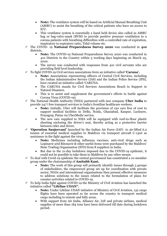- **Note:** The ventilator system will be based on Artificial Manual Breathing Unit (AMBU) to assist the breathing of the critical patients who have no access to ICU.
- This ventilator system is essentially a hand held device also called as AMBU bag or bag-valve-mask (BVM) to provide positive pressure ventilation to a corona patients with breathing difficulties with a controlled rate of expiration, inspiratory to expiratory ratio, Tidal volume etc.
- ✓ The COVID- 19 **National Preparedness Survey 2020** was conducted in **410** districts**.**
	- **Note:** The COVID-19 National Preparedness Survey 2020 was conducted in 410 Districts in the Country within 3 working days beginning on March 25, 2020.
	- The survey was conducted with responses from 410 civil servants who are providing field level leadership.
- ✓ To fight COVID-19 Civil services associations form an initiative called **'Caruna'.**
	- **Note:** Associations representing officers of Central Civil Services, including the Indian Administrative Service (IAS) and the Indian Police Service (IPS), have created an initiative called 'CARUNA.
	- The CARUNA stands for Civil Services Associations Reach to Support in Natural Disasters.
	- This is to assist and supplement the government's efforts to battle against Corona Virus (COVID-19).
- ✓ The National Health Authority (NHA) partnered with taxi company **Uber India** to provide 24/7 free transport services to India's frontline healthcare workers.
	- **Note:** Initially, Uber will facilitate the provision of 150 cars free of cost to support medical facilities in Delhi, Noida, Ghaziabad, Kanpur, Lucknow, Prayagraj, Patna via UberMedic service.
	- The new cars supplied to NHA will be equipped with roof-to-floor plastic sheeting enclosing the driver's seat, thereby acting as a protective barrier between rider and driver.
- ✓ **'Operation Sanjeevani'** launched by the Indian Air Force (IAF) to air-lifted 6.2 tonnes of essential medical supplies to Maldives via transport aircraft C-130J as assistance in the fight against the virus.
	- **Note:** Medicines including influenza vaccines, anti-viral drugs such as Lopinavir arid Ritonavir & other useful items were purchased by the Maldives' State Trading Organisation (STO) from 8 suppliers in India.
	- But due to the 21-day lockdown imposed due to the COVID-19 epidemic, it could not be possible to take them to Maldives by any other means.
- $\checkmark$  To deal with Covid-19 epidemic the central government has constituted a 10-member group under the chairmanship of **Amitabh Kant.**
	- **Note:** The work of this group will primarily identify issues through 3 groups of stakeholders, the empowered group set up for coordination with private sector, NGOs and international organisations then present effective measures to address solutions to the issues related to the formulation of plans for counter-activities related to COVID-19.
- $\checkmark$  To help India fight against COVID-19 the Ministry of Civil Aviation has launched the initiative called **"Lifeline UDAN".**
	- **Note:** Under Lifeline UDAN initiative of Ministry of Civil Aviation, 132 cargo flights have been operated so far across the country to transport medical cargo including to remote and hilly areas.
	- With support from Air India, Alliance Air, IAF and private airlines, medical supplies of more than 184 tons have been delivered till date during lockdown period.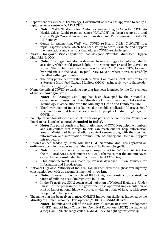- $\checkmark$  Department of Science & Technology, Government of India has approved to set up a rapid response centre **-- "CAWACH".**
	- **Note:** CAWACH stands for Centre for Augmenting WAR with COVID-19 Health Crisis. Rapid response centre "CAWACH" has been set up at a total cost of Rs 56 Crore at Society for Innovation and Entrepreneurship (SINE), IIT Bombay.
	- Centre for Augmenting WAR with COVID-19 Health Crisis (CAWACH) is a rapid response centre which has been set up to scout, evaluate and support the innovations and start-ups that address COVID-19 challenges.
- ✓ **Naval Dockyard Visakhapatnam** has designed 'Portable Multi-feed Oxygen Manifold (MOM)'.
	- **Note:** This oxygen manifold is designed to supply oxygen to multiple patients at a time, which could prove helpful in a contingency created by COVID-19 spread. The preliminary trials were conducted at MI Room at NDV, followed by rapid trials at the Naval Hospital INHS Kalyani, where it was successfully installed within 30 minutes.
	- The Navy personnel from the Eastern Naval Command (ENC) have developed a 'Portable Multi-feed Oxygen Manifold (MOM)' using a six-way radial header fitted to a single cylinder.
- $\checkmark$  Name the official COVID-19 tracking app that has been launched by the Government of India -- **Aarogya Setu.**
	- **Note:** The "Aarogya Setu" app has been developed by the National e-Governance Division of the Ministry of Electronics and Information Technology in association with the Ministry of Health and Family Welfare.
	- The Government of India has launched the mobile application "Aarogya Setu" to connect essential health services with the people of India to fight against COVID-19.
- To help foreign tourists who are stuck in various parts of the country the Ministry of Tourism has launched a portal **'Stranded in India'.**
	- **Note:** The portal consists of information around COVID-19 helpline numbers and call centres that foreign tourists can reach out for help, information around Ministry of External Affairs control centres along with their contact information and information around state-based/regional tourism support infrastructure.
- $\checkmark$  Union Cabinet headed by Prime Minister (PM) Narendra Modi has approved an ordinance to cut in the salaries of all Members of Parliament by **30%.**
	- **Note:** It also provisioned a two-year suspension (2020-21 and 2021-22) of the MP Local Area Development (MPLAD) scheme so that the amount saved can go to the Consolidated Fund of India to fight COVID-19.
	- This announcement was made by Prakash Javadkar, Union Minister for Information and Broadcasting.
- $\checkmark$  National Highways Authority of India (NHAI) has achieved the highest ever highway construction feat with an accomplishment of **3,979 km.**
	- **Note:** However, it has completed 88% of highway construction against the target of building 4,500 km highways in FY-20.
	- In the FY 2018-19, NHAI constructed 3,380 km of National Highways. Under Phase-I of the programme, the government has approved implementation of 34,800 km of national highways projects with an outlay of Rs 5.35 lakh crore in a period of five years
- $\checkmark$  The name that has been given to mega ONLINE innovation challenge launched by the Ministry of Human Resource Development (MHRD) **-- SAMADHAN.**
	- **Note:** The innovation cell of the Ministry of Human Resource Development (MHRD) and All India Council for Technical Education (AICTE) has launched a mega ONLINE challenge called "SAMADHAN" to fight against covid19.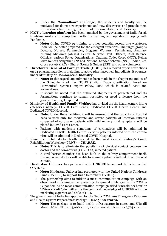- Under the **"Samadhan" challenge**, the students and faculty will be motivated for doing new experiments and new discoveries and provide them with a strong base leading to a spirit of experimentation and discovery.
- $\checkmark$  **iGOT e-learning platform** has been launched by the government of India for all front-line workers to equip them with the training and updates in coping with Pandemic.
	- **Note:** Giving COVID 19 training to other potential second line workforce, India will be better prepared for the emergent situations. The target group is Doctors, Nurses, Paramedics, Hygiene Workers, Technicians, Auxiliary Nursing Midwives (ANMs), Central & State Govt. Officers, Civil Defence Officials, various Police Organisations, National Cadet Corps (NCC), Nehru Yuva Kendra Sangathan (NYKS), National Service Scheme (NSS), Indian Red Cross Society (IRCS), Bharat Scouts & Guides (BSG) and other volunteers.
- ✓ **Directorate General of Foreign Trade (DGFT)** has removed export restrictions on 24 pharma ingredients including 12 active pharmaceutical ingredients, it operates under **Ministry of Commerce & Industry.**
	- **Note:** In this regard, amendment has been made in the chapter 29 and 30 of the Schedule 2 of the ITCHS (Indian Trade Clarification based on Harmonized System) Export Policy, 2018 which is related APIs and formulations.
	- It should be noted that the outbound shipments of paracetamol and its formulations continue to remain restricted or need a license from the government to get exported
- **Ministry of Health and Family Welfare** has divided the the health centers into 3 categories namely- COVID Care Centre, Dedicated COVID Health Centre and Dedicated COVID Hospital.
	- **Note:** Under these facilities, it will be ensured that the capacity of hospital beds is used only for moderate and severe patients of infection.Patients suspected of corona or patients with mild or very mild symptoms will be placed in Covid Care Center.
	- Patients with moderate symptoms of coronavirus will be admitted in Dedicated COVID Health Centre. Serious patients infected with the corona virus will be admitted in Dedicated COVID Hospital.
- Name the mobile doctor booth created by the West Central Railway's Coach Rehabilitation Workshop (CRWS) **-- CHARAK.**
	- **Note:** This is to eliminate the possibility of physical contact between the doctor and the coronavirus (COVID-19) infected patient.
	- A viral barrier chamber has been built in the railway compartment itself, through which doctors will be able to examine patients without direct physical contact.
- ✓ **Hindustan Unilever** has partnered with **UNICEF** to support India to combat COVID-19**.**
	- **Note:** Hindustan Unilever has partnered with the United Nations Children's Fund (UNICEF) to support India to combat COVID-19.
	- The partnership aims to initiate a mass communication campaign with an objective of informing and empowering the general public against the COVID-19 pandemic.The mass communication campaign titled '#BreakTheChain' or '#VirusKiKadiTodo' will unite the technical knowledge of UNICEF with the marketing expertise and scale of HUL.
- $\checkmark$  The government of India has approved for the 'India COVID-19 Emergency Response and Health System Preparedness Package **-- Rs.15000 crores.**
	- **Note:** The package is to build health infrastructure in states and UTs till March 2024. Of the 15,000 crore, Centre would release Rs.7,774 crore for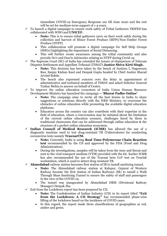immediate COVID-19 Emergency Response use till June 2020 and the rest will be set for medium-term support of 1-4 years.

- $\checkmark$  To launch a digital campaign to ensure work safety of Tribal Gatherers TRIFED has collaborated with WHO and **UNICEF.**
	- **Note:** This is to ensure tribal gatherers carry on their work safely during the collection and harvest of Minor Forest Produce (MFP)/Non-Timber Forest Produce (NTFP).
	- This collaboration will promote a digital campaign for Self Help Groups (SHGs) highlighting the importance of Social Distancing.
	- This will further create awareness among the tribal community and also provide Do's and Don'ts Advisories relating to NTFP during Covid-19.
- The Supreme Court (SC) of India has extended the tenure of chairperson of Telecom Disputes Settlement and Appellate Tribunal (TDSAT) **Justice Shiva Kirti Singh.**
	- **Note:** This decision has been taken by the bench of Justices L Nageswara Rao, Sanjay Kishan Kaul and Deepak Gupta headed by Chief Justice Sharad Arvind Bobde.
	- The bench also expressed concern over the delay in appointment of administrative and technical members of TDSAT and asked Solicitor General Tushar Mehta to answer on behalf of Centre.
- $\checkmark$  To improve the online education ecosystem of India Union Human Resource Development Ministry has launched the campaign **-- 'Bharat Padhe Online'**
	- **Note:** The campaign aims to invite all the best brains in India to share suggestions or solutions directly with the HRD Ministry, to overcome the obstacles of online education while promoting the available digital education platforms.
	- Educators across the country can also contribute with their expertise in the field of education, where a conversation may be initiated about the limitation of the current online education scenario, challenges faced by them in traditional classrooms that can be addressed through online education & the structure of a perfect online education ecosystem.
- ✓ **Indian Council of Medical Research (ICMR)** has allowed the use of a diagnostic machine used to test drug-resistant TB (Tuberculosis) for conducting coronavirus tests namely **TruenatTM.**
	- **Note:** Currently, India is using **Real Time-Polymerase Chain Reaction test** recommended by the US and approved by the FDA (Food and Drug Administration).
	- During the investigations, samples will be taken from the nose and throat and sent to the viral transport medium (VTM) provided with the kit. Earlier ICMR has also recommended the use of the Truenat beta CoV test on Truelab workstation, which is used to detect drug resistant TB.
- $\checkmark$  **Ahmedabad** railway station becomes first station of IR to install sanitizing tunnel.
	- **Note:** The Ahmedabad railway station at Kalupur, Gujarat of Western Railway became the first station of Indian Railways (IR) to install a Walk Through Mass Sanitizing Tunnel to ensure the safety of staff and passengers in the view of the COVID-19.
	- The tunnel was inaugurated by Ahmedabad DRM (Divisional Railway Manager) Deepak Jha.
- $\checkmark$  Exit from the Lockdown report has been prepared by CII.
	- **Note:** The Confederation of Indian Industry (CII) in its report titled **"Exit from the Lockdown: A CII Strategy**" has recommended phase-wise lifting of the lockdown based on the incidence of COVID cases.
	- In this regard, the report made three classifications of geographies as red, amber and green.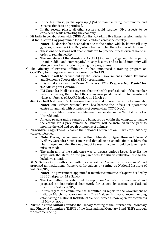- In the first phase, partial open up (25%) of manufacturing, e-commerce and construction is to be permitted.
- In the second phase, all other sectors could resume –Five aspects to be considered while restarting the economy
- ✓ Fit India in collaboration with **CBSE for** first-of-a-kind live fitness session under its Fit India Active Day programme for school children across the country**.**
	- **Note:** The decision has been taken due to the nation-wide lockdown till May 3, 2020, to counter COVID-19 which has restricted the activities of children.
	- These online sessions will enable children to practice fitness even at home in order to remain healthy.
	- The guidelines of the Ministry of AYUSH (Ayurvedic, Yoga and Naturopathy, Unani, Siddha and Homeopathy) to stay healthy and to build immunity will also be shared with students during this programme.
- $\checkmark$  The Ministry of External Affairs (MEA) has announced a training program on COVID-19 for intergovernmental organization **SAARC.**
	- **Note:** It will be carried out by the Central Government's Indian Technical and Economic Cooperation (ITEC) programme.
	- It is to take forward the Prime Minister's (PM) **'Prepare Not Panic' for 'SAARC fights Corona'.**
	- PM Narendra Modi has suggested that the health professionals of the member nations come together to fight the coronavirus pandemic at the India-initiated video conference of SAARC leaders on March 15.
- ✓ **Jim Corbett National Park** becomes the India's 1st quarantine centre for animals**.**
	- **Note:** Jim Corbett National Park has become the India's 1st quarantine centre for animals with symptoms of coronavirus (COVID-19).
	- It is India's oldest forested wildlife sanctuary located in the Nainital district of Uttarakhand.
	- At least 10 quarantine centres are being set up within the complex to handle the corona virus prey animals & Cameras will be installed in the park to monitor the cold and cough symptoms of animals.
- ✓ **Narendra Singh Tomar** chaired the National Conference on Kharif crops 2020 by video conference**.**
	- **Note:** During the conference the Union Minister of Agriculture and Farmers' Welfare, Narendra Singh Tomar said that all states should aim to achieve the kharif target and also the doubling of farmers' income should be taken up in mission mode.
	- The main aim of the conference was to discuss various issues & to list the steps with the states on the preparedness for Kharif cultivation due to the lockdown situation.
- ✓ **M S Sahoo Committee** submitted its report on "valuation professionals" and proposed an institutional framework for valuers by setting up National Institute of Valuers (NIV).
	- **Note:** The government-appointed 8-member committee of experts headed by IBBI Chairperson M S Sahoo.
	- The Committee has submitted its report on "valuation professionals" and proposed an institutional framework for valuers by setting up National Institute of Valuers (NIV).
	- In this regard the committee has submitted its report to the Government of India on March 31, 2020 along with Draft Valuers Bill, 2020, recommending establishing a National Institute of Valuers, which is now open for comments till May 14, 2020.
- ✓ **Nirmala Sitharaman** attended the Plenary Meeting of the International Monetary and Financial Committee (IMFC) of the International Monetary Fund (IMF) through video conferencing.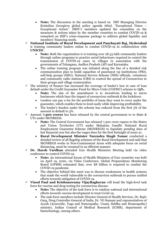- **Note:** The discussion in the meeting is based on IMF Managing Director Kristalina Georgieva global policy agenda titled, "Exceptional Times – Exceptional Action". IMFC's members updated the committee on the measures & actions taken by the member countries to combat COVID-19 & remarked on IMF's crisis-response package to address global liquidity and members' financing needs.
- ✓ **National Institute of Rural Development and Panchayati Raj, Hyderabad** is training community leaders online to combat COVID-19 in collaboration with **UNICEF.**
	- **Note:** Both the organization is is training over 28.33 lakh community leaders through online programs to practice social behaviours required to control the transmission of COVID-19 cases in villages in association with the governments of Telangana, Andhra Pradesh (AP) and Karnataka.
	- The online training program was initiated along the line of a detailed risk communication plan to build capacities of panchayat raj institutions (PRI), self-help groups (SHG), National Service Scheme (NSS) officials, volunteers and community radio stations (CRS) to control the spread of Coronavirus in their groups and village communities.
- The ministry of finance has increased the coverage of lender's loss in case of loan default under the Credit Guarantee Fund for Micro Units (CGFMU) scheme to **75%.**
	- Note: The aim of the amendment is to incentivize lending to micro businesses which bear the impact of coronavirus outbreak & the lockdown.
	- Lenders can pay a fee for the portfolio of loans they want to cover under the guarantee, which enables them to lend easily while improving profitability.
	- The lender's burden under the scheme has reduced from the first 5% of the amount in default to 3%.
- ✓ Amount **7,300 crores** has been released by the central government to to State & UTs under MGNREGS**.**
	- **Note:** The Central Government has released 7,300 crore rupees to the States and Union Territories (UT) under Mahatma Gandhi National Rural Employment Guarantee Scheme (MGNREGS) to liquidate pending dues of last financial year but also the wages dues for the first fortnight of 2020-21.
	- **Rural Development Minister Narendra Singh Tomar** conducted a detailed review of all flagship schemes of the Rural Development and said that MGNREGS works in Non-Containment Areas with adequate focus on social distancing, must be resumed in an efficient manner.
- Dr. Harsh Vardhan attended G20 Health Ministers Meeting held via video conference to control COVID-19.
	- **Note:** An international forum of Health Ministers of G20 countries was held on April 19, 2020, via Video Conference. Global Preparedness Monitoring Board (GPMB) estimated that, over \$8 billion is required to combat the COVID-19 pandemic.
	- The objective behind this meet was to discuss weaknesses in health systems that made the world vulnerable to the coronavirus outbreak to pursue unified efforts towards mitigation of COVID-19.
- ✓ **Vinod Paul and Krishnaswamy VijayRaghavan** will head the high-level task force for vaccine and drug testing for coronavirus disease.
	- **Note:** The objective of the task force is to catalyze national and international efforts towards vaccine development to treat Covid-19.
	- The task force members include Director General of Health Services, Dr. Rajiv Garg, Drug Controller General of India, Dr. VG Somani and representatives of Ayush (Ayurvedic, Yoga and Naturopathy, Unani, Siddha and Homeopathy) ministry, Indian Council of Medical Research (ICMR), department of biotechnology, among others.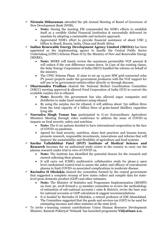- ✓ **Nirmala Sitharaman** attended the 5th Annual Meeting of Board of Governors of New Development Bank (NDB)**.**
	- **Note:** During the meeting FM commended the NDB's efforts to establish itself as a credible Global Financial Institution & successfully delivered its mandate by adopting a sustainable and inclusive approach.
	- Appreciated NDB's effort to provide financial assistance of about USD 5 billion to Brazil, Russia, India, China and South Africa.
- ✓ **Indian Renewable Energy Development Agency Limited (IREDA)** has been appointed as the implementing agency to handle the Central Public Sector Undertaking (CPSU) Scheme Phase-II by the Ministry of New and Renewable Energy (MNRE)**.**
	- **Note:** MNRE will timely review the maximum permissible VGF amount & will reduce if the cost difference comes down. In Case of the existing clause, the Solar Energy Corporation of India (SECI) handled the scheme on behalf of the ministry.
	- The CPSU Scheme Phase II aims to set up 12,000 MW grid-connected solar PV power projects under the government producers with the VGF support for self-use or by government entities either directly or through discoms
- ✓ **Dharmendra Pradhan** chaired the National Biofuel Coordination Committee (NBCC) meeting approved & allowed Food Corporation of India (FCI) to convert the available surplus rice to ethanol.
	- **Note:** Recently the government has also allowed sugar companies and distilleries to make hand sanitizers using ethanol.
	- By using the surplus rice for ethanol, it will address about 750 million litres from the total capacity of 2 billion litres of grain-based distillery capacities lying idle
- ✓ **Narendra Singh Tomar has** participated in G-20 Extraordinary Agriculture Ministers Meeting through video conference to address the issue of COVID-19 impacts on food security, safety and nutrition.
	- **Note:** The G-20 nations decided to have international cooperation in the face of COVID-19 pandemic.
	- Agreed for food security, nutrition, share best practices and lessons learnt, promote research, responsible investments, innovations and reforms that will improve the sustainability and flexibility of agriculture and food systems.
- ✓ **Sardar Vallabhbhai Patel (SVP) Institute of Medical Science and Research** becomes the 1st authorized study centre in the country to carry out the plasma research under trial in view of COVID 19**.**
	- **Note:** The institute has identified the potential donors for the research and started collecting their plasma.
	- It will carry out ICMR's multicentric collaborative study for phase-2 open level randomized control trial to assess the safety and efficacy of convalescent plasma to limit COVID-19 associated complications in moderate disease.
- $\checkmark$  **Ravindra H Dholakia** chaired the committee formed by the central government that suggested a complete revamp of how states collect and compile data for statelevel gross domestic product (GDP) and other estimates.
	- **Note:** The Ministry of Statistics and Programme Implementation (MOSPI) on June 30, 2018 formed a 13 member committee to review the methodology of estimation of sub-national accounts ( state & district), revise the base year for national accounts or GDP calculation & suggest recommendations.
	- It is headed by Ravindra H Dholakia, a retired professor of IIM Ahmedabad. The Committee suggested that the goods and services tax (GST) to be used for estimating incomes and other statistics at the state level.
- $\checkmark$  To invite e-learning content contributions Union Human Resource Development Minister, Ramesh Pokhriyal 'Nishank' has launched programme **VidyaDaan 2.0.**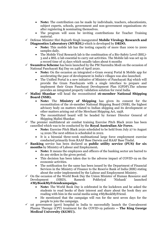- **Note:** The contribution can be made by individuals, teachers, educationists, subject experts, schools, government and non-government organisations etc after registering & nominating themselves.
- The program will soon be inviting contributions for Teacher Training material.
- ✓ Defense Minister Shri Rajnath Singh inaugurated **Mobile Virology Research and Diagnostics Laboratory (MVRDL)** which is developed by **DRDO.**
	- **Note:** This mobile lab has the testing capacity of more than 1000 to 2000 samples daily.
	- The Mobile Viral Research lab is the combination of a Bio-Safety Level (BSL)- 3 and a BSL-2 lab essential to carry out activities. The Mobile lab was set up in a record time of 15 days which usually takes about 6 months
- ✓ **Swamitva Scheme** has been launched by the PM Narendra Modi on the occasion of National Panchayati Raj Day on 24th of April 2020.
	- **Note:** On the occasion an integrated e-Gram swaraj Portal & Mobile app for accelerating the pace of development in India's villages was also launched.
	- The Unified Portal is a new initiative of Ministry of Panchayati Raj which will provide the Gram Panchayats with a single interface to prepare and implement their Gram Panchayat Development Plan (GPDP).The scheme provides an integrated property validation solution for rural India.
- ✓ **Malini Shankar** will head the reconstituted **16-member National Shipping Board (NSB).**
	- **Note:** The **Ministry of Shipping** has given its consent for the reconstitution of the 16-member National Shipping Board (NSB), the highest advisory body on matters related to Indian shipping and its development or other matters arising out of the Merchant Shipping Act, 1958.
	- The reconstituted board will be headed by former Director General of Shipping Malini Shankar.
- The premier multilateral air combat training Exercise Pitch Black 2020 has been cancelled which was to be conducted by the **Royal Australian Air Force.**
	- **Note:** Exercise Pitch Black 2020 scheduled to be held from July 27 to August 14 2020.The next edition is scheduled in 2022.
	- It is a biennial three-week multinational large force employment exercise conducted primarily from RAAF Base Darwin and RAAF Base Tindal.
- ✓ **Banking** service has been declared as **public utility service (PUS) for six months** by Ministry of Labour and Employment**.**
	- **Note:** It means the employees and officers of the banking sector are barred to do any strikes in the given period.
	- This decision has been taken due to the adverse impact of COVID-19 on the economic activities.
	- The notification for the same has been issued by the Department of Financial Services in the Ministry of Finance to the Reserve Bank of India (RBI) stating about the order implemented by the Labour and Employment Ministry.
- $\checkmark$  On the occasion of the World Book Day the Union Minister of Human Resource and Development (HRD), Ramesh Pokhriyal 'Nishank' launched **#MyBookMyFriendcampaign.**
	- **Note:** The World Book Day is celebrated in the lockdown and he asked the students to read books of their interest and share about the book they are reading with him in the social media using #MyBookMyFriend.
	- He mentioned that the campaign will run for the next seven days for the people to join the campaign.
- $\checkmark$  1st government (govt) hospital in India to successfully launch the Convalescent Plasma Therapy (CPT) treatment for the COVID-19 patients **-- The King George Medical University (KGMU).**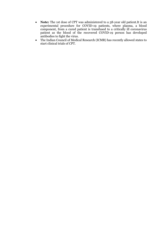- **Note:** The 1st dose of CPT was administered to a 58-year old patient.It is an experimental procedure for COVID-19 patients, where plasma, a blood component, from a cured patient is transfused to a critically ill coronavirus patient as the blood of the recovered COVID-19 person has developed antibodies to fight the virus.
- The Indian Council of Medical Research (ICMR) has recently allowed states to start clinical trials of CPT.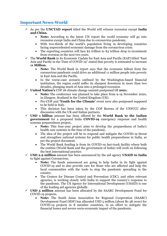# **Important News-World**

- ✓ As per the **UNCTAD report** titled the World will witness recession except **India and China.**
	- **Note:** According to the latest UN report the world economy will go into recession except India and China due to coronavirus pandemic.
	- With two-thirds of the world's population living in developing countries facing unprecedented economic damage from the coronavirus crisis.
	- The exporting countries will face \$2 trillion to \$3 trillion drop in investment from overseas in the next two years.
- $\checkmark$  The **World Bank** in its Economic Update for East Asia and Pacific (EAP) titled "East Asia and Pacific in the Time of COVID-19" stated that poverty is estimated to increase **11 Million.**
	- **Note:** The World Bank in report says that the economic fallout from the coronavirus pandemic could drive an additional 11 million people into poverty in East Asia and the Pacific.
	- In the worse-case scenario outlined by the Washington-based financial institution, the region could suffer its sharpest downturn in more than two decades, plunging much of Asia into a prolonged recession.
- United Nation's COP 26 climate change summit postponed till **2021.** 
	- **Note:** The conference was planned to take place from 9-19 November 2020, in Glasgow, Scotland in the United Kingdom (UK).
	- Pre-COP and **'Youth for the Climate'** event were also postponed supposed to be held in Italy.
	- This decision has been taken by the COP Bureau of the UNFCCC after discussion with the UK and Italian partners.
- ✓ **USD 1 billion** amount has been offered by the **World Bank to the Indian government** for a proposed India **COVID-19** emergency response and health systems preparedness project**.**
	- **Note:** This four-year project aims to develop the preparedness of India's health care systems in the time of the pandemic.
	- The idea of the project will be to respond and mitigate the COVID-19 threat and strengthen national systems for public health preparedness in India, as per the project document.
	- The World Bank funding is from its COVID-19 fast-track facility where both the entities (World Bank and the government of India) will work on following the best international practice.
- $\checkmark$  **USD 2.9 million** amount has been announced by the aid agency **USAID to India** to fight against Coronavirus.
	- **Note:** The funds announced are going to help India in its fight against COVID-19 and to also provide care for those who are affected and help the local communities with the tools to stop the pandemic spreading in the country.
	- The Centers for Disease Control and Prevention (CDC), and other relevant agencies, is working closely with India to support the country's response to the pandemic. The US Agency for International Development (USAID) is one of the leading aid agencies globally.
- $\checkmark$  **USD 5 million** amount has been allocated by the SAARC Development Fund for COVID-19 projects**.**
	- **Note:** The South Asian Association for Regional Cooperation (SAARC) Development Fund (SDF) has allocated USD 5 million (about Rs 38 crore) for COVID-19 projects in 8 member countries, in an effort to mitigate the financial losses and severe socio-economic impact of the pandemic.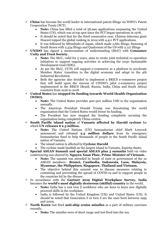- $\checkmark$  **China** has become the world leader in international patent filings via WIPO's Patent Cooperation Treaty (PCT).
	- **Note:** China has filled a total of 58,990 applications surpassing the United States (US), which was at top spot since the PCT began operations in 1978.
	- It should be noted that for the third consecutive year, Chinese telecoms giant Huawei topped the global ranking in 2019 with 4,411 PCT applications.
	- It was followed by Mitsubishi of Japan, which made 2,661 filings, Samsung of South Korea with 2,334 filings and Qualcomm of the US with 2,127 filings
- ✓ **UNIDO** has signed a memorandum of understanding (MoU) with **Consumer Unity and Trust Society.**
	- **Note:** The MoU, valid for 5 years, aims to create joint technical co-operation initiatives to support ongoing activities in achieving the 2030 Sustainable Development Goal (SDG).
	- As per the MoU, CUTS will support e-commerce as a platform to accelerate Member States' transition to the digital economy and adapt to the 4th Industrial Revolution.
	- Both the agencies also decided to implement a BRICS e-commerce project that will build upon the success of UNIDO's pilot e-commerce project implemented in the BRICS (Brazil, Russia, India, China and South Africa) countries from 2016 to 2018.
- ✓ **United States** has **stopped its funding towards World Health Organization (WHO).**
	- **Note:** The United States provides 400-500 million USD to the organization annually.
	- The American President Donald Trump was threatening the world organization that the United States would freeze its funding.
	- The President has now stopped the funding completely accusing the organization being completely China-centric.
- ✓ **South Pacific island nation** of **Vanuatu affected by Harold cyclone** for which **UN releases \$ 2.5 million.**
	- **Note:** The United Nations (UN) humanitarian chief Mark Lowcock announced and released **2.5 million dollars** from its emergency humanitarian fund to help thousands of people in the South Pacific island nation of Vanuatu.
	- The island nation is affected by **Cyclone Harold**.
	- The cyclone made landfall on the largest island in Vanuatu, Espiritu Santo.
- ✓ **Special ASEAN Summit and special ASEAN plus 3 summits** held via video conferencing was chaired by **Nguyen Xuan Phuc, Prime Minister of Vietnam.**
	- **Note:** The summit was attended by heads of state or government of the 10 ASEAN members– **Brunei, Cambodia, Indonesia, Laos, Malaysia, Myanmar, the Philippines, Singapore, Thailand and Vietnam.**
	- The objective behind this summit was to discuss measures relating to containing and preventing the spread of COVID-19 and to support people in the countries hit by the disease.
- ✓ In accordance with the **Gartner 2019 Digital Workplace Survey, India** becomes the **world's most digitally dexterous (skilful) country** in the world**.**
	- **Note:** India has a vast Gen Z workforce who are keen to learn new digitally powered skills in the workplace.
	- India is followed by the United Kingdom (UK) and United States (US). It should be noted that Generation Z or Gen Z are the ones born between 1995 and 2009.
- $\checkmark$  **North Korea** test fired **anti-ship cruise missiles** as a part of military exercises recently**.**
	- **Note:** The missiles were of short range and test fired into the sea.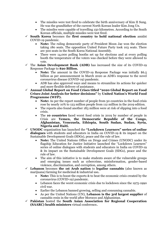- The missiles were test fired to celebrate the birth anniversary of Kim II Sung. He was the grandfather of the current North Korean leader Kim Jong Un.
- The missiles were capable of travelling 150 kilometres. According to the South Korean officials, multiple missiles were test fired.
- ✓ **South Korea** becomes the **first country to hold national election** amidst COVID-19 pandemic.
	- **Note:** The ruling democratic party of President Moon Jae won the election taking 180 seats. The opposition United Future Party took 103 seats. There are 300 seats in the South Korea National Assembly.
	- There were 14,000 polling booths set up for elections and at every polling booth the temperature of the voters was checked before they were allowed to vote.
- $\checkmark$  The **Asian Development Bank (ADB)** has increased the size of its COVID-19 Response Package to **\$20 Billion.**
	- **Note:** The amount in the COVID-19 Response Package was initially \$6.5 billion as per announcement in March 2020 as ADB's response to the novel coronavirus disease (COVID-19) pandemic.
	- ADB has also approved ways and means to streamline its actions for quicker and more flexible delivery of assistance.
- ✓ **Annual Global Report on Food Crises titled "2020 Global Report on Food Crises-Joint Analysis for better decisions"** by **United Nation's World Food Programme (WFP).**
	- **Note:** As per the report number of people from 50 countries in the food crisis rose by nearly 10% to 123 million people from 112 million in the 2019 edition.
	- The reports also found another 183 million were at risk of slipping into a food crisis.
	- The **10 countries** faced worst food crisis in 2019 by number of people in Crisis are **Yemen, the Democratic Republic of the Congo, Afghanistan, Venezuela, Ethiopia, South Sudan, Sudan, Syria, Nigeria and Haiti.**
- ✓ **UNODC** organization has launched the **"Lockdown Learners" series of online dialogues** with students and educators in India on COVID-19 & its impact on the Sustainable Development Goals (SDGs), peace and the rule of law.
	- **Note:** The United Nations Office on Drugs and Crimes (UNODC) under its flagship Education for Justice Initiative launched the "Lockdown Learners" series of online dialogues with students and educators in India on COVID-19 & its impact on the Sustainable Development Goals (SDGs), peace and the rule of law.
	- The aim of this initiative is to make students aware of the vulnerable groups and emerging issues such as cybercrime, misinformation, gender-based violence, discrimination, and corruption, among others.
- ✓ **Lebanon** becomes **the 1st Arab nation** to **legalise cannabis** (also known as marijuana) farming for medicinal & industrial use**.**
	- **Note:** This is to boost the exports & to beat the economic crisis created by the coronavirus (COVID-19) pandemic.
	- Lebanon faces the worst economic crisis due to lockdown since the 1975-1990 civil war.
	- Earlier the Lebanon banned growing, selling and consuming cannabis.
	- As per the United Nations (UN), **Lebanon is the 3rd largest supplier** of cannabis resin in the world after Morocco and Afghanistan.
- ✓ **Pakistan** hosted the **South Asian Association for Regional Cooperation (SAARC) health ministers** virtual conference**.**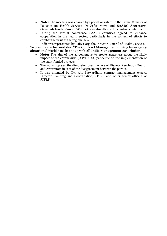- **Note:** The meeting was chaired by Special Assistant to the Prime Minister of Pakistan on Health Services Dr Zafar Mirza and **SAARC Secretary-General- Esala Ruwan Weerakoon** also attended the virtual conference.
- During the virtual conference SAARC countries agreed to enhance cooperation in the health sector, particularly in the context of efforts to combat the virus at the regional level.
	- India was represented by Rajiv Garg, the Director General of Health Services
- ✓ To organize a virtual workshop "**The Contract Management during Emergency situations**" World Bank has tie up with **All India Management Association.**
	- **Note:** The aim of the agreement is to create awareness about the likely impact of the coronavirus (COVID -19) pandemic on the implementation of the bank-funded projects.
	- The workshop saw the discussion over the role of Dispute Resolution Boards and Arbitrators in case of the disagreement between the parties.
	- It was attended by Dr. Ajit Patwardhan, contract management expert, Director Planning and Coordination, JTFRP and other senior officers of JTFRP.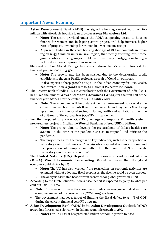# **Important News: Economy**

- ✓ **Asian Development Bank (ADB)** has signed a loan agreement worth of \$60 million with affordable housing loan provider **Aavas Financiers Ltd.**
	- **Note:** The grant, provided under the ADB's supporting access to housing finance for women and in lagging states project, will help increase higher rates of property ownership for women in lower-income groups.
	- At present, India saw the acute housing shortage of 18.7 million units in urban region & 43.7 million units in rural region, that mostly affecting low-income groups, who are facing major problems in receiving mortgages including a lack of documents to prove their incomes.
- ✓ Standard & Poor Global Ratings has slashed down India's growth forecast for financial year 2020-21 to **3.5%.**
	- **Note:** The growth rate has been slashed due to the deteriorating credit conditions in the Asia-Pacific region as a result of Covid-19 outbreak.
	- It also expects a sharp growth at 7.3% in the Indian economy for FY22 & also has lowered India's growth rate to 5.2% from 5.7% before lockdown.
- $\checkmark$  The Reserve Bank of India (RBI) in consultation with the Government of India (GoI), has hiked the limit of **Ways and Means Advances (WMA)** for the first half of the financial year 2020-21 for the centre to **Rs 1.2 lakh crore.**
	- **Note:** The increment will help state & central government to overtake the current mismatch in the cash flow of their receipts and payments & will step up expenditure in the social sector, including health and sanitation at the time of outbreak of the coronavirus (COVID-19) pandemic**.**
- $\checkmark$  For the proposed a 4 -year COVID-19 emergency response & health systems preparedness project in **India,** the **World Bank** has offered **USD 1 billion.**
	- **Note:** The project aims to develop the preparedness of India's health care systems in the time of the pandemic & also to respond and mitigate the pandemic.
	- The project measures the progress on key indicators, such as the proportion of laboratory-confirmed cases of Covid-19 who responded within 48 hours and the proportion of samples submitted for the confirmed Severe acute respiratory syndrome coronavirus-2.
- ✓ The **United Nations (UN) Department of Economic and Social Affairs (DESA) World Economic Forecasting Model** estimates that the global economy could shrink by **1%.**
	- **Note:** The UN has also warned if the restrictions on economic activities are extended without adequate fiscal responses, the decline could be even deeper.
	- The analysis estimated best & worst scenarios for global growth in 2020
- $\checkmark$  According to the Fitch Solutions India's fiscal deficit is expected to go up to what per cent of GDP **-- 6.2 %.**
	- **Note:** The reason for this is the economic stimulus package given to deal with the economic impact of the coronavirus (COVID-19) epidemic.
	- The government had set a target of limiting the fiscal deficit to 3.5 % of GDP during the current financial year FY 2020-21.
- ✓ **Asian Development Bank (ADB) in its Asian Development Outlook (ADO) 2020** has forecasted a slowdown in Indian economic growth to **4%.**
	- **Note:** For FY 21-22 it has predicted Indian economic growth to 6.2%.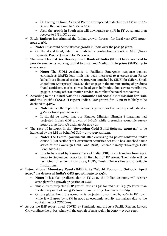- On the region front, Asia and Pacific are expected to decline to 2.2% in FY 20- 21 and then rebound to 6.2% in 2021.
- Also, the growth in South Asia will downgrade to 4.1% in FY 20-21 and then recover to 6% in FY 21-22.
- $\checkmark$  **Fitch Ratings** has trimmed the Indian growth forecast for fiscal year (FY) 2020-2021 to **2%.**
	- **Note:** This would be the slowest growth in India over the past 30 years.
	- On the global front, Fitch has predicted a contraction of 1.9% in GDP (Gross Domestic Product) growth for FY 20-21.
- ✓ The **Small Industries Development Bank of India** (SIDBI) has announced to provide emergency working capital to Small and Medium Enterprises (SMEs) up to **one crore.**
	- **Note:** The SIDBI Assistance to Facilitate Emergency response against coronavirus (SAFE) loan limit has been increased to 2 crores from Rs 50 lakhs.It is a financial assistance program launched by SIDBI for (Micro, Small & Medium Enterprises) MSMEs that engage in the manufacturing of products (hand sanitizers, masks, gloves, head gear, bodysuits, shoe covers, ventilators, goggles, among others) or offer services to combat the novel coronavirus.
- ✓ According to the **United Nations Economic and Social Commission for Asia and the Pacific (ESCAP) report** India's GDP growth for FY 20-21 is likely to be declined to **4.8%.**
	- **Note:** As per the report the Economic growth for the country could stand at 5.1% for fiscal year 2021-22.
	- It should be noted that our Finance Minister Nirmala Sitharaman had projected India's GDP growth of 6-6.5% while presenting economic survey 2020-21, up from 5% estimate for 2019-20.
- ✓ The **rate of interest** in the **"Sovereign Gold Bond Scheme 2020-21"** to be launched by the RBI on behalf of GoI **-- 2.50 per annum.**
	- **Note:** The Central government after exercising its power conferred under clause (iii) of section 3 of Government securities Act 2006 has launched a new series of the Sovereign Gold Bond (SGB) Scheme namely "Sovereign Gold Bond 2020-21".
	- It is to be issued by Reserve Bank of India (RBI) in six tranches from April 2020 to September 2020 i.e. in first half of FY 20-21. Their sale will be restricted to resident individuals, HUFs, Trusts, Universities and Charitable Institutions**.**
- ✓ **International Monetary Fund (IMF)** in its **"World Economic Outlook, April 2020"** has decreased **India's GDP growth rate to 1.9%.**
	- **Note:** It has also predicted that in FY 21-22 the Indian economy will recover strongly with a growth projection of 7.4%.
	- This current projected GDP growth rate at 1.9% for 2020-21 is 3.9% lower than the January outlook and 5.1% lower than the projection made in 2019.
	- On the global front, the economy is projected to contract by  $-3\%$  in FY 20-21 while it will grow by 5.8% in 2021 as economic activity normalizes due to the containment of COVID-19.
- $\checkmark$  As per the IMF report titled 'COVID-19 Pandemic and the Asia-Pacific Region: Lowest Growth Since the 1960s' what will the growth of Asia region in 2020 **-- 0 per cent.**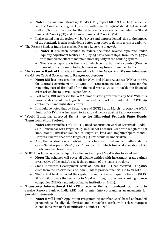- **Note:** International Monetary Fund's (IMF) report titled 'COVID-19 Pandemic and the Asia-Pacific Region: Lowest Growth Since the 1960s' stated that Asia will stall at 0% growth in 2020 for the 1st time in 60 years which includes the Global Financial Crisis (4.7%) and the Asian Financial Crisis (1.3%).
- It also stated that the region will be "severe and unprecedented" due to the impact of the pandemic & Asia is still doing better than other regions in terms of activity.
- ✓ The Reserve Bank of India has slashed Reverse Repo rate to **3.75%.**
	- **Note:** It has been decided to reduce the fixed reverse repo rate under liquidity adjustment facility (LAF) by 25 basis points (bps) from 4% to 3.75% with immediate effect to maintain more liquidity in the banking system.
	- The reverse repo rate is the rate at which central bank of a country (Reserve Bank of India in case of India) borrows money from commercial banks.
- ✓ The **Reserve Bank of India** has increased the limit for **Ways and Means Advances** (WMA) for Central Government to **Rs 2,00,000 crores.**
	- **Note:** RBI has increased the limit for Ways and Means Advances (WMA) by 66% for Central Government to Rs 2,00,000 crore from Rs 1,20,000 crore for the remaining part of first half of the financial year 2020-21 to tackle the financial crisis arisen due to COVID-19 pandemic.
	- Last week, RBI increased the WMA limit of state governments by 60%. With this move states would get greater financial support to undertake COVID-19 containment and mitigation efforts.
	- It should be noted that by Fiscal year end (FYE) i.e. on March 31, 2020 the WMA limit for H1 FY21 was increased to Rs 1.20-lakh crore against Rs.75,000 crore.

#### ✓ **World Bank** has approved **Rs 585 cr for Himachal Pradesh State Roads Transformation Project.**

- **Note:** Under tranche-I of HPSRTP, Road construction work of Barotiwala-Baddi-Sain-Ramshehar with length of 45 kms, Dadol-Ladraurr Road with length of 14.5 kms, Mandi- Riwalsar-Kalkhar of length 28 kms and Raghunathpura-Mandi-Harpura-Bharari road with length of 3.5 kms would be undertaken.
- Also, the construction of 4,960-km roads has been fixed under Pradhan Mantri Gram SadakYojna (PMGSY) for FY 2020-21 for which financial allocation of Rs 1,666 crore had been made.
- ✓ **SIDBI** has launched special liquidity schemes to support MSMEs due to lockdown**.**
	- **Note:** The schemes will cover all eligible entities with investment-grade ratings irrespective of the entity's size & the quantum of the loans is 90 days.
	- Small Industries Development Bank of India (SIDBI) has received Rs 15,000 crore from the Reserve Bank of India (RBI) to provide financial aid to MSMEs.
	- The central bank provided the capital through a Special Liquidity Facility (SLF). SIDBI will provide the financing to MSMEs through banks, non-banking finance companies (NBFCs) and micro-finance institutions (MFIs).
- ✓ **Transcorp International Ltd (TIL)** becomes the **1st non-bank company** to receive Reserve Bank of India(RBI) nod to enter into co-branding arrangements for prepaid Instruments**.**
	- **Note:** It will launch Application Programming Interface (API) based co-branded partnerships for digital, physical and contactless cards with select marquee clients in its own Bank Identification Number (BINs).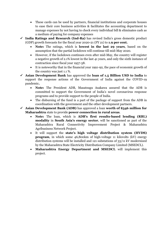- These cards can be used by partners, financial institutions and corporate houses to ease their core business activities & facilitates the accounting department to manage expenses by not having to check every individual bill & eliminates cash as a medium of paying for company expenses
- ✓ **India Ratings and Research (Ind-Ra)** has revised India's gross domestic product (GDP) growth forecasts for the fiscal year 2020-21 (FY 21) to **1.9 per cent.**
	- **Note:** The ratings, which is **lowest in the last 29 years**, based on the assumption that the partial lockdown will continue till mid-May 2020.
	- However, if the lockdown continues even after mid-May, the country will register a negative growth of 2.1% lowest in the last 41 years, and only the sixth instance of contraction since fiscal year 1957-58.
	- It is noteworthy that in the financial year 1991-92, the pace of economic growth of the country was just 1.1 %.
- ✓ **Asian Development Bank** has approved the **loan of 1.5 Billion USD to India** to support the response actions of the Government of India against the COVID-19 pandemic**.**
	- **Note:** The President ADB, Masatsugu Asakawa assured that the ADB is committed to support the Government of India's novel coronavirus response programs and to provide support to the people of India.
	- The disbursing of the fund is a part of the package of support from the ADB in coordination with the government and the other development partners.
- ✓ **Asian Development Bank (ADB)** has approved a loan **worth of \$346 million for Maharashtra** state to provide **power connection in rural areas**.
	- **Note:** The loan, which is **ADB's first results-based lending (RBL) modality** in **South Asia's energy sector**, will be sanctioned as part of the Maharashtra Rural Connectivity Improvement Project & Maharashtra Agribusiness Network Project.
	- It will support the **state's high voltage distribution system (HVDS) program**, in which some 46,800km of high-voltage 11 kilovolts (kV) energy distribution systems will be installed and 121 substations of 33/11 kV modernized by the Maharashtra State Electricity Distribution Company Limited (MSEDCL).
	- **Maharashtra Energy Department and MSEDCL** will implement this project.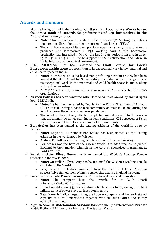### **Awards and Honours**

- ✓ Manufacturing unit of Indian Railway **Chittaranjan Locomotive Works** has set the **Limca Book of Records** for producing record **431 locomotives in the financial year 2019-2020.**
	- **Note:** This was achieved despite novel coronavirus (COVID-19) restrictions that creating disruptions during the current financial year (FY20).
	- The unit has surpassed its own previous year (2018-2019) record when it produced 402 locomotives in 297 working days. CLW's Locomotive production has increased 75% over the last 6 years period from 250 in 2014- 15 to 431 in 2019-20 in line to support 100% Electrification and 'Make in India' initiative of the central government.
- ✓ NGO '**ARMMAN'** has been awarded the **Skoll Award for Social Entrepreneurship 2020** in recognition of its exceptional work in the maternal and child health space in India**.**
	- **Note:** ARMMAN, an India-based non-profit organization (NPO), has been awarded the Skoll Award for Social Entrepreneurship 2020 in recognition of its exceptional work in the maternal and child health space in India, along with 4 other awardees.
	- ARMMAN is the only organization from Asia and Africa, selected from 700 organizations.
- Naveen Patnaik has been conferred with 'Hero to Animals Award' by animal rights body PETA India.
	- **Note:** He has been awarded by People for the Ethical Treatment of Animals (PETA) for allocating funds to feed community animals in Odisha during the lockdown over the novel coronavirus pandemic.
	- The lockdown has not only affected people but animals as well. In the concern that the animals do not go starving in such conditions, CM approved of Rs 54 lakhs from a relief fund to feed animals of the community.
- $\checkmark$  **Ben Stokes** has been named as the leading cricketer of the world in 2020 by Wisden**.**
	- **Note:** England's all-rounder Ben Stokes has been named as the leading cricketer in the world 2020 by Wisden.
	- Andrew Flintoff was the last English player to win the award in 2005.
	- Ben Stokes was the hero of the Cricket World Cup 2019 final as he guided England to their maiden triumph in the 50-over showpiece tournament at Lord's on July 14.
- Female cricketer **Ellyse Perry** has been named the Wisden's Leading Female Cricketer in the World 2020.
	- **Note:** Australia's Ellyse Perry has been named the Wisden's Leading Female Cricketer in the World.
	- Perry scored the highest runs and took the most wickets as Australia successfully retained their Women's Ashes title against England last year.
- ✓ Power company **Tata Power** has won the Edison Award for social innovation.
	- **Note:** The company bags the awards for its 'Club Enerji #Switchoff2SwitchOn' campaign.
	- It has brought about 533 participating schools across India, saving over 29.8 million units of power since its inception in 2007.
	- Tata Power is India's largest integrated power company and has an installed capacity of 10,763 megawatts together with its subsidiaries and jointly controlled entities.
- ✓ Algerian Novelist **Abdelouahab Aissaoui has** won the 13th International Prize for Arabic Fiction (IPAF) 2020 for his novel 'The Spartan Court'**.**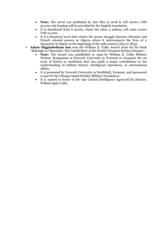- **Note:** The novel was published by Dar Min in 2018 & will receive USD 50,000 and funding will be provided for the English translation.
- It is shortlisted from 6 novels, where the other 5 authors will each receive USD 10,000.
- It is a historical novel that relates the power struggle between Ottoman and French colonial powers in Algeria where it interconnects the lives of 5 characters in Algiers at the beginning of the 19th century (1815 to 1833).
- ✓ **Adam Higginbotham has** won the William E. Colby Award 2020 for his book "Midnight in Chernobyl: The Untold Story of the World's Greatest Nuclear Disaster"**.**
	- **Note:** The Award was established in 1999 by William E. Colby Military Writers' Symposium at Norwich University in Vermont to recognize the 1st work of fiction or nonfiction that has made a major contribution to the understanding of military history, intelligence operations, or international affairs.
	- It is presented by Norwich University in Northfield, Vermont, and sponsored in part by the Chicago-based Pritzker Military Foundation.
	- It is named in honor of the late Central Intelligence Agency(CIA) director, William Egan Colby.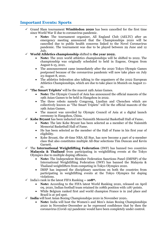# **Important Events: Sports**

- ✓ Grand Slam tournament **Wimbledon 2020** has been cancelled for the first time since World War II due to coronavirus pandemic.
	- **Note:** The tournament organizer, All England Club (AELTC) after an emergency meeting announced that the Championships 2020 will be cancelled due to public health concerns linked to the Novel Coronavirus pandemic. The tournament was due to be played between 29 June and 12 July.
- ✓ **World Athletics championship** shifted to **the year 2022.**
	- **Note:** The 2021 world athletics championships will be shifted to 2022. The championship was originally scheduled to held in Eugene, Oregon from August 6-15, 2021.
	- The announcement came immediately after the 2020 Tokyo Olympic Games postponed because of the coronavirus pandemic will now take place on July 23-August 8, 2021.
	- The athletics federation also talking to the organisers of the 2022 European Athletics Championships, which are due to take place in Munich on August 11- 21.
- **The Smart Triplets'** will be the mascot 19th Asian Games.
	- **Note:** The Olympic Council of Asia has announced the official mascots of the 19th Asian Games to be held in Hangzhou in 2022.
	- The three robots namely Congcong, Lianlian and Chenchen which are collectively known as "The Smart Triplets" will be the official mascots of the 19th Asian Games.
	- The mascot was unveiled by Olympic Council of Asia at a digital launch ceremony in Hangzhou, China.
- ✓ **Kobe Bryant** has been inducted into Naismith Memorial Basketball Hall of Fame**.**
	- **Note:** The late Kobe Bryant has been selected as a member of the Naismith Memorial Basketball Hall of Fame.
	- He has been selected as the member of the Hall of Fame in his first year of eligibility.
	- Kobe Bryant, the 18-time NBA All Star, has now become a part of 9-member class that also constitutes multiple All-Star selections Tim Duncan and Kevin Garnett.
- ✓ The **International Weightlifting Federation** (IWF) has banned two countries **Malaysia & Thailand** from participating in weightlifting events at the Tokyo Olympics due to multiple doping offences**.**
	- **Note:** The Independent Member Federation Sanctions Panel (IMFSP) of the International Weightlifting Federation (IWF) has banned the Malaysia & Thailand weightlifters from competing in Tokyo Olympics 2020.
	- IMSP has imposed the disciplinary sanctions on both the countries from participating in weightlifting events at the Tokyo Olympics for doping violations.
- ✓ India's rank in the latest FIFA Ranking **-- 108th.**
	- **Note:** According to the FIFA latest World Ranking 2020, released on April 09, 2020, Indian football team retained its 108th position with 1187 points.
	- While Belgium ranked first and world champion France is in 2nd place and Brazil is at 3rd spot.
- ✓ **India** will host Asian Boxing Championships 2020 in November 2020**.**
	- **Note:** India will host the Women's and Men's Asian Boxing Championships 2020 in November-December as he expressed confidence that by then the coronavirus (Covid-19) pandemic would have been completely under control.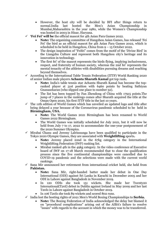- However, the host city will be decided by BFI after things return to normal.India last hosted the Men's Asian Championship in Mumbai,Maharashtra in the year 1980, while the Women's Championship was hosted in 2003 in Hisar, Haryana.
- ✓ **'Fei Fei' will be** the official mascot for 4th Asian Para Games 2022.
	- **Note:** The organizing committee of Hangzhou Asian Games, has released 'Fei Fei' the bird as an official mascot for 4th Asian Para Games 2022, which is scheduled to be held in Hangzhou, China from 9 – 15 October 2022.
	- The design inspiration of "Feifei" comes from the motif of the 'Divine Bird' in the Liangzhu Culture and represent both Hangzhou city's heritage and its innovation in technology.
	- The first fei' of the mascot represents the birds flying, implying inclusiveness, respect, and fraternity of human society, whereas the 2nd fei' represents the mental tenacity of the athletes with disabilities pursuing dreams and reaching beyond themselves.
- ✓ According to the International Table Tennis Federation (ITTF) World Ranking 2020 of senior Indian male players **Achanta Sharath Kamal** got top rank**.**
	- **Note:** India's table tennis star Achanta Sharath Kamal has become the topranked player at 31st position with 6460 points by beating Sathiyan Gnanasekaran (who slipped one place to number 32).
	- The list has been topped by Fan Zhendong of China with 17915 points.The jump of 7 places in the rankings comes after Sharath acquired the title at the Oman Open 2020, his first ITTF title in the last 10 years.
- $\checkmark$  The 11th edition of World Games which has unveiled an updated logo and title after being delayed a year because of the Coronavirus pandemic scheduled to be held in **Birmingham, USA.**
	- **Note:** The World Games 2021 Birmingham has been renamed to World Games 2022 Birmingham.
	- The World Games was initially scheduled for July 2021, but it will now be held from July 7 to 17, 2022 to accommodate the one-year postponement of the 2020 Summer Olympics.
- $\checkmark$  Mirabai Chanu and Jeremy Lalrinnunga have been qualified to participate in the Tokyo 2020 Olympic Games, they are associated with **Weightlifting** sports**.**
	- **Note:** Jeremy placed 22nd in the 67kg category in the International Weightlifting Federation (IWF) ranking list.
	- Mirabai ranked 4th in the 49kg category. In the video conference of Executive board of IWF on 17-18 March recommended that to close the qualification process since the five continental championships were cancelled due to COVID-19 pandemic and the selections were made with the current world rankings.
- $\checkmark$  Sana Mir announced her retirement from international cricket held, she held from **Pakistan.**
	- **Note:** Sana Mir, right-handed batter made her debut in One Day International (ODI) against Sri Lanka in Karachi in December 2005 and her ODI in Lahore against Bangladesh in November 2019.
	- In 120 ODIs she took 151 wickets. She made her Twenty20 International(T20I) debut in Dublin against Ireland in May 2009 and her last T20Is in Lahore against Bangladesh in October 2019.
	- In 106 T20Is she took 89 wickets and scored 802 runs.
- ✓ India lost the hosting rights of 2021 Men's World Boxing Championships to **Serbia.**
	- **Note:** The Boxing Federation of India acknowledged the delay but blamed it on "procedural complications" arising out of the AIBA's failure to resolve "issues" with regards to the account in which the money was to be transferred.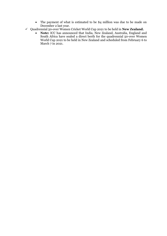- The payment of what is estimated to be \$4 million was due to be made on December 2 last year.
- ✓ Quadrennial 50-over Women Cricket World Cup 2021 to be held in **New Zealand.**
	- **Note:** ICC has announced that India, New Zealand, Australia, England and South Africa have sealed a direct berth for the quadrennial 50-over Women World Cup 2021 to be held in New Zealand and scheduled from February 6 to March 7 in 2021.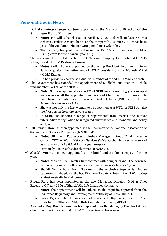# **Personalities in News**

- ✓ **D. Lakshminarayanan** has been appointed as the **Managing Director of the Sundaram Home Finance.**
	- **Note:** He will take charge on April 1, 2020 and will replace Srinivas Acharya.Srinivas Acharya has been the company's MD since 2010 & has been part of the Sundaram Finance Group for almost 4 decades.
	- The company had posted a total income of Rs 1006 crore and a net profit of Rs 145 crore for the financial year 2019.
- $\checkmark$  The government extended the tenure of National Company Law Tribunal (NCLT) acting President **BSV Prakash Kumar.**
	- **Note:** Earlier he was appointed as the acting President for 3 months from January 5 after the retirement of NCLT president Justice Mahesh Mittal (M.M.) Kumar.
	- He had previously served as a Judicial Member of the NCLT's Madras bench.
- $\checkmark$  The Government has extended the appointment of Madhabi Puri Buch as a whole time member (WTM) of the **SEBI.**
	- **Note:** She was appointed as a WTM of SEBI for a period of 3 years in April 2017 whereas all the appointed members and Chairman of SEBI were only men from the public sector, Reserve Bank of India (RBI) or the Indian Administrative Service (IAS).
	- She was not only the first woman to be appointed as a WTM of SEBI but also the first person from the private sector.
	- In SEBI, she handles a range of departments from market and market intermediaries regulation to integrated surveillance and economic and policy analysis.
- $\checkmark$  **UB Pravin Rao** has been appointed as the Chairman of the National Association of Software and Services Companies (NASSCOM)**.**
	- **Note:** UB Pravin Rao succeeds Keshav Murugesh, Group Chief Executive Officer (CEO) of World Network Services (WNS) Global Services, who served as chairman of NASSCOM for the year 2019-20.
	- Previously Rao was the vice chairman of NASSCOM.
- $\checkmark$  **Shafali Verma** has been appointed as the brand ambassador of PepsiCo for one year**.**
	- **Note:** Pepsi will be Shafali's first contract with a major brand. The beverage firm recently signed Bollywood star Salman Khan as its face for 2 years.
	- Shafali Verma hails from Haryana is the explosive top- order Indian batswoman, who played the ICC Women's Twenty20 International World Cup against Australia in Melbourne.
- $\checkmark$  **Parag Raja** has been appointed as the new Managing Director (MD) & Chief Executive Officer (CEO) of Bharti AXA Life Insurance Company**.**
	- **Note:** The appointment will be subject to the requisite approval from the Insurance Regulatory and Development Authority of India (IRDAI).
	- Parag Raja will be the successor of Vikas Seth. Raja served as the Chief Distribution Officer at Aditya Birla Sun Life Insurance (ABSLI).
- $\checkmark$  **Anamika Roy Rashtrawar** has been appointed as the Managing Director (MD) & Chief Executive Officer (CEO) of IFFCO Tokio General Insurance**.**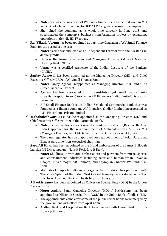- **Note:** She was the successor of Warendra Sinha. She was the first woman MD and CEO of a large private sector IFFCO Tokio general insurance company.
- She joined the company as a whole-time director in June 2018 and spearheaded the company's business transformation project by expanding operations in tier -II, III, IV towns.
- $\checkmark$  **Raj Vikash Verma** has been appointed as part-time Chairman of AU Small Finance Bank for the period of one year**.**
	- **Note:** Verma was inducted as an Independent Director with the AU Bank in January 2018.
	- He was the former Chairman and Managing Director (MD) of National Housing Bank (NHB).
	- Verma was a certified Associate of the Indian Institute of the Bankers (CAIIB).
- $\checkmark$  **Sanjay Agarwal** has been appointed as the Managing Director (MD) and Chief Executive Officer (CEO) of AU Small Finance Bank.
	- **Note:** Sanjay Agarwal reappointed as Managing Director (MD) and CEO (Chief Executive Officer).
	- Agarwal has been associated with this institution (AU small finance bank) since its inception in 1996 (erstwhile AU Financiers India Limited), is also its promoter.
	- AU Small Finance Bank is an Indian Scheduled Commercial bank that was founded as a finance company AU financiers (India) Limited incorporated as L.N. Finco Gems Private Limited
- $\checkmark$  **Mahabaleshwara M S** has been appointed as the Managing Director (MD) and Chief Executive Officer (CEO) of the Karnataka Bank.
	- **Note:** Private sector lender Karnataka Bank received RBI (Reserve Bank of India) approval for the re-appointment of Mahabaleshwara M S as MD (Managing Director) and CEO (Chief Executive Officer) for next 3 years.
	- The bank regulator has also approved for reappointment of Polali Jayarama Bhat as part time (non-executive) chairman.
- ✓ **Sara Ali Khan** has been appointed as the brand ambassador of the James Bullough Lansing (JBL)'s campaign –"Live it Real, Live it Raw".
	- **Note:** She lines up with JBL ambassadors and partners from music, sports, and entertainment industries including actor and humanitarian Priyanka Chopra, music mogul AR Rahman, and Olympian Shuttler PV Sindhu in India.
	- Mahindra Group's MeraKisan, an organic Agri producer has partnered with The Vice-Captain of the Indian Test Cricket team Ajinkya Rahane, as part of this, he will own equity & will be its brand ambassador.
- $\checkmark$  **J Packirisamy** has been appointed as Officer on Special Duty (OSD) in the Union Bank of India**.**
	- **Note:** Andhra Bank Managing Director (MD) J Packirisamy has been appointed as Officer on Special Duty (OSD) in the Union Bank of India (UBI).
	- The appointments come after some of the public sector banks were merged by the government with effect from April 2020.
	- Andhra Bank and Corporation Bank have merged with Union Bank of India from April 1, 2020.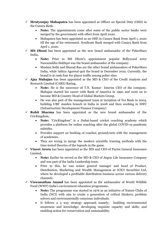- ✓ **Mrutyunjay Mahapatra** has been appointed as Officer on Special Duty (OSD) in the Canara Bank.
	- **Note:** The appointments come after some of the public sector banks were merged by the government with effect from April 2020.
	- Mahapatra has been appointed as an OSD in Canara Bank from April 1, 2020 till the age of his retirement. Syndicate Bank merged with Canara Bank from April 1, 2020.
- $\checkmark$  **MS Dhoni** has been appointed as the new brand ambassador of the PokerStars India**.**
	- **Note:** Prior to MS Dhoni's appointment popular Bollywood actor Nawazuddin Siddiqui was the brand ambassador of the company.
	- Muskan Sethi and Sharad Rao are the other brand ambassadors of PokerStars India, while Aditya Agarwal quit the brand in December 2019. Currently, the brand is at rank four for player traffic among poker sites.
- $\checkmark$  **Ajay Mahajan** has been appointed as the MD & CEO of the Credit Analysis and Research Limited (CARE) Rating**.**
	- **Note:** He is the successor of T.N. Kumar- Interim CEO of the company. Mahajan started his career with Bank of America in 1990 and went on to become MD & Country Head of Global Markets Group.
	- He was also part of the management team at inception of Yes Bank in 2004, building UBS' maiden branch in India in 2008 and then working in IDFC (Infrastructure Development Finance Company)
- ✓ **Rohit Sharma** has been appointed as the new brand ambassador of the CricKingdom**.**
	- **Note:** "CricKingdom" is a Dubai-based cricket coaching academy which provides a platform for online coaching after the global COVID-19 pandemic subsides.
	- Provides support on booking of coaches, ground/nets with the management of academies.
	- They are trying to merge the modern scientific training methods with the time-tested theories of the legends in the game.
- ✓ **Vineet Arora** has been appointed as the MD and CEO of Paytm General Insurance Limited**.**
	- **Note:** Earlier he served as the MD & CEO of Aegon Life Insurance Company and was part of the India Leadership team.
	- Prior to this, he was senior general manager and head of Product, Distribution, Marketing and Wealth Management at ICICI Securities Ltd, where he developed a profitable distribution business across various delivery channels.
- ✓ **Viswanathan Anand** has been appointed as the ambassador of World Wildlife Fund (WWF) India's environment education programme**.**
	- **Note:** The programme was started in 1976 as an initiative of Nature Clubs of India (NCI) with aim to create a generation of critical thinkers, problem solvers and environmentally conscious individuals.
	- It follows a 3 way strategy approach namely; building environmental awareness and knowledge; developing requisite capacity and skills; and enabling action for conservation and sustainability.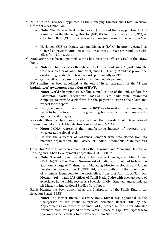- $\checkmark$  **N Kamakodi** has been appointed as the Managing Director and Chief Executive Officer of City Union Bank.
	- **Note:** The Reserve Bank of India (RBI) approved the re-appointment of N Kamakodi as the Managing Director (MD) & Chief Executive Officer (CEO) of City Union Bank (CUB), a private sector bank for 3 years with effect from May 1.
	- He joined CUB as Deputy General Manager (DGM) in 2003, elevated as General Manager in 2005, Executive Director in 2006 & as MD and CEO with effect from May 1, 2011.
- ✓ **Noel Quinn** has been appointed as the Chief Executive Officer (CEO) of the HSBC Bank**.**
	- **Note:** He had served as the interim CEO of the bank since August 2019. He was the successor of John Flint. Noel joined HSBC in 1987 and has proven the outstanding candidate to take on a role permanently as CEO.
	- Quinn will earn a base salary of 1.27 million pounds per annum.
- ✓ **PV Sindhu** has been appointed as the one of its ambassadors for the **"I am badminton" awareness campaign of BWF.**
	- **Note:** World Champion PV Sindhu, named as one of the ambassadors for Badminton World Federation's (BWF's) "I am badminton" awareness campaign to provide a platform for the players to express their love and respect for the sport.
	- Five years since the Integrity unit of BWF was formed and the campaign is made to be the forefront of the governing body's effort to communicate its approach and integrity.
- ✓ **Rakesh Sharma** has been appointed as the President of Geneva-based International Motorcycle Manufacturers Association (IMMA).
	- **Note:** IMMA represents the manufacturing industry of powered twowheelers at the global level.
	- He was the successor of Johannes Loman.Sharma was elected from its member organisation, the Society of Indian Automobile Manufacturers (SIAM).
- $\checkmark$  **Shiv Das Meena** has been appointed as the Chairman and Managing Director of Housing and Urban Development Corporation (HUDCO) ltd.
	- **Note:** The Additional Secretary of Ministry of Housing and Urban Affairs (MoHUA),Shiv Das Meena Government of India was appointed to hold the additional charge of Chairman and Managing Director of Housing and Urban Development Corporation (HUDCO) ltd, for six month or till the appointment of a regular incumbent to the post, effect from 21st April 2020.Shiv Das Meena – 1989 batch IAS officer of Tamil Nadu Cadre with over 30 years of experience in the public service is a Bachelor of Civil Engineer and completed his Master in International Studies from Japan.
- $\checkmark$  **Rajiv Kumar** has been appointed as the Chairperson of the Public Enterprises Selection Board (PESB)**.**
	- **Note:** The former finance secretary Rajiv Kumar was appointed as the Chairperson of the Public Enterprises Selection Board(PESB) by the Appointments Committee of Cabinet (ACC) headed by the Prime Minister Narendra Modi for a period of three years in place of KapilDev Tripathi who took over as the Secretary to the President Ram NathKovind.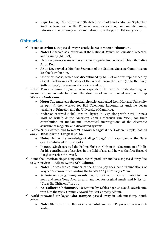• Rajiv Kumar, IAS officer of 1984-batch of Jharkhand cadre, in September 2017 he took over as the Financial services secretary and initiated many reforms in the banking sectors and retired from the post in February 2020.

#### **Obituaries**

- ✓ Professor **Arjun Dev** passed away recently; he was a veteran **Historian.**
	- **Note:** He served as a historian at the National Council of Education Research and Training (NCERT).
	- He also co-wrote some of the extremely popular textbooks with his wife Indira Arjun Dev.
	- Arjun Dev served as Member Secretary of the National Steering Committee on Textbook evaluation.
	- One of his books, which was discontinued by NCERT and was republished by Orient Blackswan as "History of the World: From the Late 19th to the Early 20th century", has remained a widely read text.
- $\checkmark$  Nobel Prize- winning physicist who expanded the world's understanding of magnetism, superconductivity and the structure of matter, passed away **-- Philip Warren Anderson.**
	- **Note:** The American theoretical physicist graduated from Harvard University in 1949 & then worked for Bell Telephone Laboratories until he began teaching at Princeton and the University of Cambridge.
	- Anderson received Nobel Prize in Physics in 1977, along with Nevill Francis Mott of Britain & the American John Hasbrouck van Vleck, for their contribution on fundamental theoretical investigations of the electronic structure of magnetic and disordered systems.
- ✓ Padma Shri awardee and former **"Hazoori Raagi"** at the Golden Temple, passed away -- **Bhai Nirmal Singh Khalsa.**
	- **Note:** He has the knowledge of all 31 "raags" in the Gurbani of the Guru Granth Sahib (Sikh Holy Book).
	- In 2009, Singh received the Padma Shri award from the Government of India for his contribution of services in the field of arts and he was the first Hazoori Raagi to receive the award.
- $\checkmark$  Name the American singer-songwriter, record producer and bassist passed away due to Coronavirus **-- Adam Lyons Schlesinger.**
	- **Note:** He was the co-founder of the 2000s pop-rock band "Foundations of Wayne" & known for co-writing the band's 2003 hit "Stacy's Mom".
	- Schlesinger won 3 Emmy awards, two for original music and lyrics for the 2011 and 2012 Tony Awards and, another for original music and lyrics for "Crazy Ex-Girlfriend" in 2015.
	- **"A Colbert Christmas",** co-written by Schlesinger & David Javerbaum, won him the 2009 Grammy Award for Best Comedy Album.
- ✓ World renowned virologist **Gita Ramjee** passed away in Johannesburg, South Africa**.**
	- **Note:** She was the stellar vaccine scientist and an HIV prevention research leader.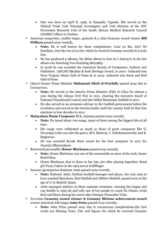- Gita was born on April 8, 1956, in Kampala, Uganda. She served as the Clinical Trials Unit Principal Investigator and Unit Director of the HIV Prevention Research Unit of the South African Medical Research Council (SAMRC) offices in Durban.
- ✓ American songwriter, soulful singer, guitarist & 3 time Grammy award winner **Bill Withers** passed away recently**.**
	- **Note:** He is well known for these compilations- Lean on Me, Ain't No Sunshine, Just the two of us (for which he received Grammy awards) & Lovely Day.
	- He has produced 9 albums, his debut album is Just As I Am $(1971)$  & the last album was Watching You Watching Me(1985).
	- In 2006 he was awarded the American Society of Composers, Authors and Publishers (ASCAP) Rhythm & Soul Heritage Award, in 2007- Inducted into West Virginia Music Hall of Fame & in 2015- Inducted into Rock and Roll Hall of Fame
- ✓ Libya's former Prime Minister **Mahmoud Jibril el-Warfally** passed away due to Coronavirus.
	- **Note:** He served as the interim Prime Minister (PM) of Libya for almost a year during the Libyan Civil War in 2011, chairing the executive board of National Transitional Council and later killed Moammar Gaddafi in 2011.
	- He also served as an economic advisor to the Gaddafi government before the revolution and served as the interim leader until the country held its first free elections in four decades in 2012.
- ✓ **Malayalam Music Composer** M.K. Arjunan passed away recently.
	- **Note:** He tuned about 700 songs, many of them among the biggest hits of all time.
	- His songs were celebrated as much as those of great composers like G. Devarajan (who was also his guru), M.S. Baburaj, V. Dakshinamoorthy and K. Raghavan.
	- He was awarded Kerala State award for the best composer in 2017 for Jayaraj's Bhayanakam.
- ✓ Renowned personality **Honor Blackman** passed away recently.
	- **Note:** Honor Blackman was one of the memorable co-stars of the early James Bond films.
	- Honor Blackman shot to fame in her late 30s after playing legendary Bond girl Pussy Galore in the 1964 movie Goldfinger.
- $\checkmark$  Famous sportsperson Radomir Antic passed away recently.
	- **Note:** Radomir Antic, Serbian football manager and player, the only man to have coached Barcelona, Real Madrid and Atlético Madrid, passed away at the age of 71 in Madrid, Spain.
	- Antic managed Atletico on three separate occasions, winning the league and cup double in 1995-96 and only one of two people to coach EL Clasico rivals Real and Barca during his career after Enrique Fernandez Viola.
- ✓ Two-time **Grammy award winner & Grammy lifetime achievement award** winner American folk singer **John Prine** passed away recently**.**
	- **Note:** John Prine passed away due to coronavirus complications.His best works are Missing Years, Fair and Square for which he received Grammy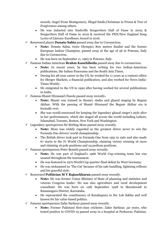awards, Angel From Montgomery, Illegal Smile,Christmas in Prison & Tree of Forgiveness among others.

- He was inducted into Nashville Songwriters Hall of Fame in 2003 & Songwriters Hall of Fame in 2019 & received the PEN/New England Song Lyrics of Literary Excellence Award in 2016.
- ✓ Renowned player **Donato Sabia** passed away due to Coronavirus.
	- **Note:** Donato Sabia, twice Olympics 800 meters finalist and the former European Indoor Champion, passed away at the age of 56 in Potenza, Italy due to Coronavirus.
	- He was born on September 11, 1963 in Potenzo, Italy.
- ✓ Famous Indian American **Brahm Kanchibotla** passed away due to coronavirus.
	- **Note:** In recent years, he has been writing for two Indian-American publications, the Indian Panorama and the South Asia Times.
	- During his 28-year career in the US, he worked for 11 years as a content editor for Merger Markets, a financial publication, and also worked for News India-Times Weekly.
	- He emigrated to the US in 1992 after having worked for several publications in India.
- ✓ Famous Shanti Hiranand Chawla passed away recently**.**
	- **Note:** Shanti was trained in thumri, dadra and ghazal singing by Begum Akthar. With the passing of Shanti Hiranand the Begum Akthar era is formally over.
	- She was world-renowned for keeping the legendary ghazal singer's style alive in her performances, which she staged all across the world including Lahore, Islamabad, Toronto, Boston, New York and Washington.
- $\checkmark$  Legendary sportsperson Sir Stirling Moss passed away recently.
	- **Note:** Moss was widely regarded as the greatest driver never to win the Formula One drivers' world championship.
	- The British driver took part in Formula One from 1951 to 1961 and also made 67 starts in the F1 World Championship, claiming victory winning 16 races and claiming 16 pole positions and 24 podium positions.
- $\checkmark$  Famous sportsperson Peter Bonetti passed away recently.
	- **Note:** He was part of England's 1966 World Cup-winning team but was unused throughout the tournament.
	- He was featured in 1970 World Cup quarter-final defeat by West Germany.
	- He was nicknamed as 'The Cat' because of his safe handling, lightning reflexes and his graceful style.
- ✓ Renowned **Politician M V Rajasekharan** passed away recently.
	- **Note:** He was former Union Minister of State of planning and statistics and veteran Congress leader. He was also agriculture and rural development consultant. He was born on 12th September 1928 in Maralawadi in Ramanagara District, Karnataka.
	- He represented the constituency of Kanakapura in the Lok Sabha and well known for his value-based politics.
- $\checkmark$  Famous sportsperson Zafar Sarfaraz passed away recently.
	- **Note:** Former Pakistani first-class cricketer, Zafar Sarfaraz ,50 years, who tested positive to COVID-19 passed away in a hospital at Peshawar, Pakistan.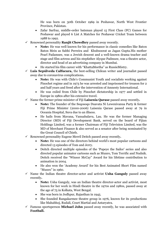He was born on 30th October 1969 in Peshawar, North West Frontier Province, Pakistan.

- Zafar Sarfraz, middle-order batsman played 15 First Class (FC) Games for Peshawar and played 6 List A Matches for Peshawar Cricket Team between 1988 to 1992.
- ✓ Renowned personality **Ranjit Chowdhry** passed away recently.
	- **Note:** He was well known for his performance in classic comedies like Baton Baton Mein as Sabhi Perreira and Khubsoorat as Jagan Gupta.His mother Pearl Padamsee, was a Jewish descent and a well-known drama teacher and stage and film actress and his stepfather Alyque Padmsee, was a theatre actor, director and head of an advertising company in Mumbai.
	- He started his film career with "KhattaMeetha" as RussieMistry.
- ✓ **Luis Sepúlveda Calfucura,** the best-selling Chilean writer and journalist passed away due to coronavirus complications**.**
	- **Note:** He was with Chile's Communist Youth and socialists working against Pinochet regime and in 1973 he was arrested and imprisoned for treason for 2 and half years and freed after the intervention of Amnesty International.
	- He was exiled from Chile by Pinochet dictatorship in 1977 and settled in Europe in 1980s after his extensive travel.
- ✓ Name the former prime minister of Fiji **Laisenia Qarase** passed away recently**.**
	- **Note:** The founder of the Soqosoqo Duavata Ni Lewenivanua Party & former Fiji Prime Minister (2000-2006) Laisenia Qarase passed away at 79 in Oceania Hospital, Suva due to an illness.
	- He hails from Mavana, Vanuabalavu, Lau. He was the former Managing Director (MD) of Fiji Development Bank, served on the board of Fijian Holdings Limited, was a former Chairman of Fiji Television Limited, was the MD of Merchant Finance & also served as a senator after being nominated by the Great Council of Chiefs.
- ✓ Renowned personality Eugene Merril Deitch passed away recently**.**
	- **Note:** He was one of the directors behind world's most popular cartoons and directed 13 episodes of Tom and Jerry.
	- Deitch directed multiple episodes of the 'Popeye the Sailor' series and also directed popular animator cartoons such as Munro, Tom Terrific and Nudnik. Deitch received the "Winsor McCay" Award for his lifetime contribution to animation in 2004.
	- He also won the 'Academy Award' for his Best Animated Short Film named "Munro" in 1960.
- $\checkmark$  Name the Indian theatre director-actor and activist **Usha Ganguly** passed away recently**.**
	- **Note:** Usha Ganguly, was an Indian theatre director-actor and activist, most known for her work in Hindi theatre in the 1970s and 1980s, passed away at the age of 75 in Kolkata, West Bengal.
	- She was born in Jodhpur, Rajasthan in 1945.
	- She founded Rangakarmee theatre group in 1976, known for its productions like Mahabhoj, Rudali, Court Martial and Antaryatra.
- Famous sportsperson **Michael John** passed away recently, he was associated with **Football.**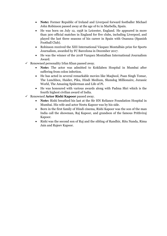- **Note:** Former Republic of Ireland and Liverpool forward footballer Michael John Robinson passed away at the age of 61 in Marbella, Spain.
- He was born on July 12, 1958 in Leicester, England. He appeared in more than 300 official matches in England for five clubs, including Liverpool, and played the last three seasons of his career in Spain with Osasuna (Spanish Football Club).
- Robinson received the XIII International Vázquez Montalbán prize for Sports Journalism, awarded by FC Barcelona in December 2017.
- He was the winner of the 2018 Vazquez Montalban International Journalism Award.
- $\checkmark$  Renowned personality Irfan Khan passed away.
	- **Note:** The actor was admitted to Kokilaben Hospital in Mumbai after suffering from colon infection.
	- He has acted in several remarkable movies like Maqbool, Paan Singh Tomar, The Lunchbox, Haider, Piku, Hindi Medium, Slumdog Millionaire, Jurassic World, The Amazing Spiderman and Life of Pi.
	- He was honoured with various awards along with Padma Shri which is the fourth highest civilian award of India.
- ✓ Renowned **Actor Rishi Kapoor** passed away.
	- **Note:** Rishi breathed his last at the Sir HN Reliance Foundation Hospital in Mumbai. His wife and actor Neetu Kapoor was by his side.
	- Born in the first family of Hindi cinema, Rishi Kapoor was the son of the man India call the showman, Raj Kapoor, and grandson of the famous Prithviraj Kapoor.
	- Rishi was the second son of Raj and the sibling of Randhir, Ritu Nanda, Rima Jain and Rajeev Kapoor.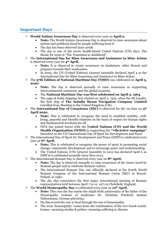#### **Important Days**

- ✓ **World Autism Awareness Day** is observed every year on **April 2.**
	- **Note:** The World Autism Awareness Day is observed to raise awareness about autism and problems faced by people suffering from it.
	- The day has been observed since 2008.
	- The day is one of the seven health-based United Nations (UN) days. The theme for 2020 is "The Transition to Adulthood".
- ✓ The **International Day for Mine Awareness and Assistance in Mine Action** is observed every year on **4th April.**
	- **Note:** It is observed to create awareness on landmines, other threats and progress towards their eradication.
	- In 2005, the UN (United Nations) General Assembly declared April 4 as the International Day for Mine Awareness and Assistance in Mine Action.
- ✓ The **57th Edition of National Maritime Day (NMD)** was celebrated on **April 5, 2020.**
	- **Note:** The day is observed annually to raise awareness in supporting intercontinental commerce and the global economy.
	- The **National Maritime Day was first celebrated on April 5, 1964**.
	- The saga of India shipping first started on April 5, 1919, when the SS Loyalty, the first ship of **The Scindia Steam Navigation Company Limited** travelled from Mumbai to the United Kingdom (UK).
- $\checkmark$  The **International Day of Conscience (IDC)** is observed for the 1st time on  $5^{\text{th}}$ **April 2020.**
	- **Note:** This is celebrated to recognize the need to establish stability, wellbeing, peaceful and friendly relations on the basis of respect for human rights and fundamental freedoms for all.
	- FIFA has joined forces with the **United Nations (UN) and the World Health Organization (WHO)** in supporting the **"#BeActive campaign"** launched on the UN International Day of Sport for Development and Peace
- $\checkmark$  The International Day of Sport for Development and Peace (IDSP) is celebrated every year on **6th April.**
	- **Note:** This is celebrated to recognize the power of sport in promoting social change, community development and to encourage peace and understanding.
	- The United Nations (UN) General Assembly in 2013 has declared April 6 as IDSP & is celebrated annually since then 2014.
- ✓ The International Romani Day is observed every year on **8th April.**
	- **Note:** The day is observed annually to raise awareness of the issues faced by Romani people and to celebrate Romani culture.
	- The International Romani Day was officially declared at the fourth World Romani Congress of the International Romani Union (IRU) in Serock, Poland, in 1990.
	- The day also remembers the first major international meeting of Romani representatives held between April 7 to 12, 1971 in Chelsfield, England.
- ✓ The **World Homeopathy Day** is celebrated every year on **10th April.**
	- **Note:** This year the day marks the 265th birth anniversary of the father of the Homeopathy systems of medicines Dr. Christian Friedrich Samuel Hahnemann, German physician.
	- He discovered the way to heal through the use of homeopathy.
	- The term 'homeopathy' comes from the combination of the two Greek words, homeo- meaning similar & pathos- meaning suffering or disease.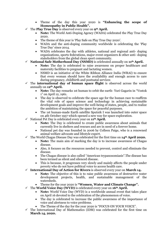- Theme of the day this year 2020 is **"Enhancing the scope of Homeopathy in Public Health".**
- ✓ The **Play True Day** is observed every year on **9th April.** 
	- **Note:** The World Anti-Doping Agency (WADA) celebrated the Play True Day 2020.
	- The theme of this year is 'Play Safe on Play True Day 2020'.
	- WADA and the anti-doping community worldwide is celebrating the 'Play True Day' since 2014.
	- WADA celebrates the day with athletes, national and regional anti- doping organizations, sports federations, major event organizers  $\&$  other anti-doping stakeholders from the global clean sport community.
- ✓ **National Safe Motherhood Day (NSMD)** is celebrated annually on **11th April.** 
	- **Note:** The day is celebrated to raise awareness on proper healthcare and maternity facilities to pregnant and lactating women.
	- NSMD is an initiative of the White Ribbon Alliance India (WRAI) to ensure that every woman should have the availability and enough access to care during pregnancy, childbirth and postnatal services
- ✓ The **international day of human space flight** is observed across the world annually on **12th April.**
	- **Note:** The day remarks 1st human to orbit the earth- Yuri Gagarin in "Vostok 1" on April 12, 1961.
	- The day is observed to celebrate the space age for the human race to reaffirm the vital role of space science and technology in achieving sustainable development goals and improve the well-being of states, people, and to realize the ambition of maintaining the space for peaceful purposes.
	- The 1st human-made Earth satellite Sputnik I was launched into outer space on 4th October 1957 which opened a new way for space exploration.
- ✓ National Pet Day is celebrated every year on **11th April.**
	- **Note:** The Day is celebrated to create public awareness about animals that currently live in shelters and rescues and are in need of a forever home.
	- National pet day was founded in 2006 by Colleen Paige, who is a renowned animal welfare advocate and lifestyle expert.
- ✓ The World Chagas Disease Day was celebrated for the first time on **14th April 2020.**
	- **Note:** The main aim of marking the day is to increase awareness of Chagas disease.
	- Also, it focuses on the resources needed to prevent, control and eliminate the disease.
	- The Chagas disease is also called "American trypanosomiasis".The disease has been termed as silent and silenced disease.
	- This is because, it progresses very slowly and mainly affects the people under poverty who do not have political voice to access health care.
- ✓ **International Day of Action for Rivers** is observed every year on **March 14.**
	- **Note:** The objective of this is to raise public awareness of destructive water development projects, health, and sustainable management of the watersheds.
	- Theme for the year 2020 is **"Women, Water and Climate Change".**
- ✓ The **World Voice Day (WVD)** is celebrated every year on **16th April.**
	- **Note:** World Voice Day (WVD) is a worldwide annual event that takes place on April 16 devoted to the celebration of the phenomenon of voice.
	- The day is celebrated to increase the public awareness of the importance of voice and alertness to voice problems.
	- The Theme of the day for the year 2020 is "FOCUS ON YOUR VOICE".
- The International Day of Mathematics (IDM) was celebrated for the first time on **March 14, 2020.**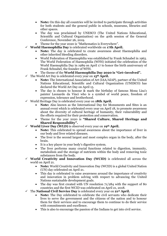- **Note:** On this day all countries will be invited to participate through activities for both students and the general public in schools, museums, libraries and other spaces.
- The day was proclaimed by UNESCO (The United Nations Educational, Scientific and Cultural Organization) on the 40th session of the General Conference, November 26, 2019.
- Theme for the year 2020 is "Mathematics is Everywhere".
- ✓ **World Haemophilia Day** is celebrated worldwide on **17th April.**
	- **Note:** The day is celebrated to create awareness about Haemophilia and other inherited bleeding disorders.
	- World Federation of Haemophilia was established by Frank Schnabel in 1963. The World Federation of Haemophilia (WFH) initiated the celebration of the World Haemophilia Day in 1989 on April 17 to honor the birth anniversary of Frank Schnabel, the founder of WFH.
	- The theme of the **World Haemophilia Day 2020 is "Get+involved".**
- ✓ The World Art Day is celebrated every year on **15th April.**
	- **Note:** The International Association of Art (IAA/AIAP), partner of the United Nations Educational, Scientific and Cultural Organization (UNESCO) has declared the World Art Day on April 15.
	- The day is chosen to honour & mark the birthday of famous Mona Lisa's painter Leonardo da Vinci who is a symbol of world peace, freedom of expression, tolerance and brotherhood.
- ✓ World Heritage Day is celebrated every year on **18th April.**
	- **Note:** Also known as the International Day for Monuments and Sites is an annual event which is celebrated every year on April 18, to promote awareness about the diversity of cultural heritage of humanity, their vulnerability and the efforts required for their protection and conservation.
	- Theme for the year 2020 is **"Shared Culture, Shared Heritage and Shared Responsibility".**
- ✓ **World Liver Day (WLD)** is observed every year on **19th April.**
	- **Note:** This celebrated to spread awareness about the importance of liver in our body and liver related diseases.
	- The liver is the second largest and most complex organ in the body, after the brain.
	- It is a key player in your body's digestive system.
	- The liver performs many crucial functions related to digestion, immunity, metabolism and the storage of nutrients within the body and removing toxic substances from the body.
- ✓ **World Creativity and Innovation Day (WCID)** is celebrated all across the world on April 21.
	- **Note:** World Creativity and Innovation Day (WCID) is a global United Nation (UN) day celebrated on April 21.
	- This day is celebrated to raise awareness around the importance of creativity and innovation in problem solving with respect to advancing the United Nations sustainable development goals.
	- The day was first created with UN resolution  $71/284$  with the support of 80 countries and the first WCID was celebrated on April 21, 2018.
- ✓ The **National Civil Service Day** is celebrated every year on **21st April.**
	- **Note:** The Day celebrated to celebrate the civil servants who dedicate their lives to serve the government and the citizens of the nation and to honour them for their services and to encourage them to continue to do their service with commitments and excellence.
	- This is also to encourage the passion of the Indians to get into civil service.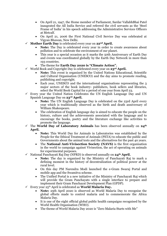- On April 21, 1947, the Home member of Parliament, Sardar VallabhBhai Patel inaugrated the All India Service and referred the civil servants as the 'Steel Frame of India' in his speech addressing the Administrative Services Officers at Metcalf.
- On April 21, 2006 the First National Civil Service Day was celebrated at Vigyan Bhawan, New Delhi.
- ✓ **Mother Earth Day** is celebrated every year on **22nd April.**
	- Note: The Day is celebrated every year in order to create awareness about pollution and to celebrate the environment of our planet.
	- This year is a special occasion as it marks the 50th Anniversary of Earth Day and events was coordinated globally by the Earth Day Network in more than 193 countries.
	- The theme for **Earth Day 2020 is "Climate Action".**
- ✓ World Book and Copyright Day is celebrated every year on **23rd April.**
	- **Note:** This event is organized by the United Nations Educational, Scientific and Cultural Organisation (UNESCO) and the day aims to promote reading, publishing and copyright.
	- Each year, UNESCO and the international organisations representing the 3 major sectors of the book industry- publishers, book sellers and libraries, select the World Book Capital for a period of one year from April 23.
- Every year the United Nation Celebrates the UN English Language Day and UN Spanish Language Day on **23rd April.**
	- **Note:** The UN English Language Day is celebrated on the 23rd April every year which is traditionally observed as the birth and death anniversary of William Shakespeare.
	- The celebration of English language day is aimed to educate the people on the history, culture and the achievements associated with the language and to encourage the books, poetry and the literature exchange like activities to promote the language.
- ✓ The **World Day of Laboratory Animals** has been observed annually on **24th April.**
	- **Note:** This World Day for Animals in Laboratories was established by the People for the Ethical Treatment of Animals (PETA) to educate the public and Governments about the animal tests and the alternatives for the past 40 years.
	- The **National Anti-Vivisection Society (NAVS)** is the first organisation in the world to campaign against Vivisection, the act of operating on animals for experimental purposes.
- ✓ National Panchayati Raj Day (NPRD) is observed annually on **24th April.**
	- **Note:** The day is organized by the Ministry of Panchayati Raj to mark a defining moment in the history of decentralization of political power at the rural level.
	- On this day PM Narendra Modi launched the e-Gram Swaraj Portal and mobile app and the Swamitva scheme.
	- The Unified Portal is a new initiative of the Ministry of Panchayati Raj which will provide the Gram Panchayats with a single interface to prepare and implement their Gram Panchayat Development Plan (GPDP).
- ✓ Every year 25th April is celebrated as **World Malaria Day.**
	- **Note:** 25th April 2020 is observed as World Malaria Day to recognise the global efforts made to control malaria and to commemorate the Africa Malaria Day.
	- It is one of the eight official global public health campaigns recognised by the World Health Organisation (WHO).
	- The theme of World Malaria Day 2020 is "Zero Malaria Starts with Me"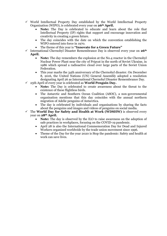- $\checkmark$  World Intellectual Property Day established by the World Intellectual Property Organization (WIPO), is celebrated every year on **26th April.**
	- **Note:** The Day is celebrated to educate and learn about the role that Intellectual Property (IP) rights that support and encourage innovation and creativity in creating a green future.
	- The day coincides with the date on which the convention establishing the WIPO entered into force in 1970.
	- The theme of this year is **"Innovate for a Green Future"**
- ✓ International Chernobyl Disaster Remembrance Day is observed every year on **26th April.**
	- **Note:** The day remembers the explosion at the No.4 reactor in the Chernobyl Nuclear Power Plant near the city of Pripyat in the north of Soviet Ukraine, in 1986 which spread a radioactive cloud over large parts of the Soviet Union Federation.
	- This year marks the 34th anniversary of the Chernobyl disaster. On December 8, 2016, the United Nations (UN) General Assembly adopted a resolution designating April 26 as International Chernobyl Disaster Remembrance Day.
- ✓ 25th April of every year is celebrated as **World Penguin Day.**
	- **Note:** The Day is celebrated to create awareness about the threat to the existence of these flightless birds.
	- The Antarctic and Southern Ocean Coalition (ASOC), a non-governmental organisation mentions that this day coincides with the annual northern migration of Adelie penguins of Antarctica.
	- The day is celebrated by individuals and organisations by sharing the facts about the penguins and images and videos of penguins on social media.
- ✓ The **World Day for Safety and Health at Work (WDSHW)** is observed every year on **28th April.**
	- **Note:** The day is observed by the ILO to raise awareness on the adoption of safe practices in workplaces, focusing on the COVID-19 pandemic.
	- April 28 is also the International Commemoration Day for Dead and Injured Workers organized worldwide by the trade union movement since 1996.
	- Theme of the Day for the year 2020 is Stop the pandemic: Safety and health at work can save lives.